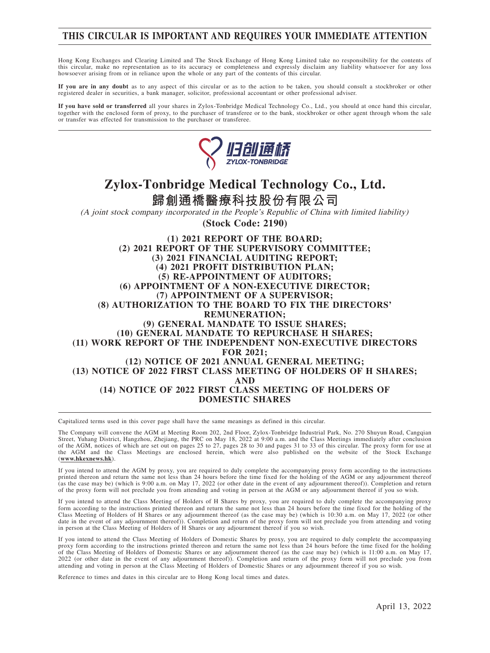## **THIS CIRCULAR IS IMPORTANT AND REQUIRES YOUR IMMEDIATE ATTENTION**

Hong Kong Exchanges and Clearing Limited and The Stock Exchange of Hong Kong Limited take no responsibility for the contents of this circular, make no representation as to its accuracy or completeness and expressly disclaim any liability whatsoever for any loss howsoever arising from or in reliance upon the whole or any part of the contents of this circular.

**If you are in any doubt** as to any aspect of this circular or as to the action to be taken, you should consult a stockbroker or other registered dealer in securities, a bank manager, solicitor, professional accountant or other professional adviser.

**If you have sold or transferred** all your shares in Zylox-Tonbridge Medical Technology Co., Ltd., you should at once hand this circular, together with the enclosed form of proxy, to the purchaser of transferee or to the bank, stockbroker or other agent through whom the sale or transfer was effected for transmission to the purchaser or transferee.



# **Zylox-Tonbridge Medical Technology Co., Ltd.**

**歸創通橋醫療科技股份有限公司**

(A joint stock company incorporated in the People's Republic of China with limited liability) **(Stock Code: 2190)**

**(1) 2021 REPORT OF THE BOARD; (2) 2021 REPORT OF THE SUPERVISORY COMMITTEE; (3) 2021 FINANCIAL AUDITING REPORT; (4) 2021 PROFIT DISTRIBUTION PLAN; (5) RE-APPOINTMENT OF AUDITORS; (6) APPOINTMENT OF A NON-EXECUTIVE DIRECTOR; (7) APPOINTMENT OF A SUPERVISOR; (8) AUTHORIZATION TO THE BOARD TO FIX THE DIRECTORS' REMUNERATION; (9) GENERAL MANDATE TO ISSUE SHARES; (10) GENERAL MANDATE TO REPURCHASE H SHARES; (11) WORK REPORT OF THE INDEPENDENT NON-EXECUTIVE DIRECTORS FOR 2021; (12) NOTICE OF 2021 ANNUAL GENERAL MEETING; (13) NOTICE OF 2022 FIRST CLASS MEETING OF HOLDERS OF H SHARES; AND (14) NOTICE OF 2022 FIRST CLASS MEETING OF HOLDERS OF DOMESTIC SHARES**

Capitalized terms used in this cover page shall have the same meanings as defined in this circular.

The Company will convene the AGM at Meeting Room 202, 2nd Floor, Zylox-Tonbridge Industrial Park, No. 270 Shuyun Road, Cangqian Street, Yuhang District, Hangzhou, Zhejiang, the PRC on May 18, 2022 at 9:00 a.m. and the Class Meetings immediately after conclusion of the AGM, notices of which are set out on pages 25 to 27, pages 28 to 30 and pages 31 to 33 of this circular. The proxy form for use at the AGM and the Class Meetings are enclosed herein, which were also published on the website of the Stock Exchange (**www.hkexnews.hk**).

If you intend to attend the AGM by proxy, you are required to duly complete the accompanying proxy form according to the instructions printed thereon and return the same not less than 24 hours before the time fixed for the holding of the AGM or any adjournment thereof<br>(as the case may be) (which is 9:00 a.m. on May 17, 2022 (or other date in the event of of the proxy form will not preclude you from attending and voting in person at the AGM or any adjournment thereof if you so wish.

If you intend to attend the Class Meeting of Holders of H Shares by proxy, you are required to duly complete the accompanying proxy<br>form according to the instructions printed thereon and return the same not less than 24 ho Class Meeting of Holders of H Shares or any adjournment thereof (as the case may be) (which is 10:30 a.m. on May 17, 2022 (or other date in the event of any adjournment thereof)). Completion and return of the proxy form will not preclude you from attending and voting<br>in person at the Class Meeting of Holders of H Shares or any adjournment thereof if yo

If you intend to attend the Class Meeting of Holders of Domestic Shares by proxy, you are required to duly complete the accompanying proxy form according to the instructions printed thereon and return the same not less than 24 hours before the time fixed for the holding of the Class Meeting of Holders of Domestic Shares or any adjournment thereof (as the case may be) (which is 11:00 a.m. on May 17, 2022 (or other date in the event of any adjournment thereof)). Completion and return of the proxy form will not preclude you from attending and voting in person at the Class Meeting of Holders of Domestic Shares or any adjournment thereof if you so wish.

Reference to times and dates in this circular are to Hong Kong local times and dates.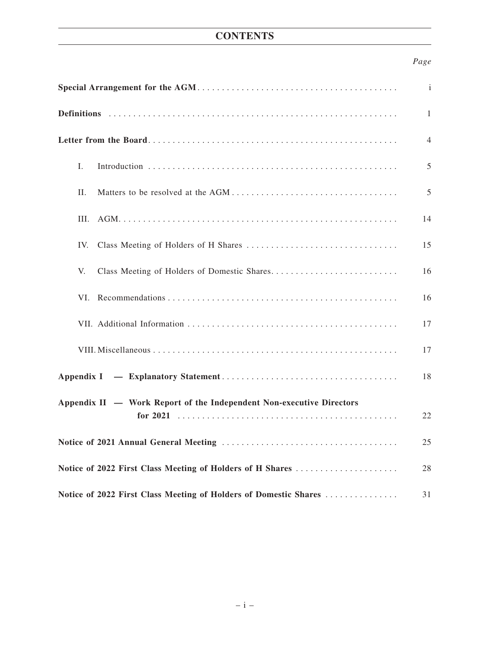## **CONTENTS**

## *Page*

|                                                                      | $\mathbf{i}$ |
|----------------------------------------------------------------------|--------------|
|                                                                      | 1            |
|                                                                      | 4            |
| L.                                                                   | 5            |
| П.                                                                   | 5            |
| Ш.                                                                   | 14           |
| IV.                                                                  | 15           |
| V.                                                                   | 16           |
| VI.                                                                  | 16           |
|                                                                      | 17           |
|                                                                      | 17           |
|                                                                      | 18           |
| Appendix II — Work Report of the Independent Non-executive Directors |              |
|                                                                      | 22           |
|                                                                      |              |
|                                                                      | 25           |
| Notice of 2022 First Class Meeting of Holders of H Shares            | 28           |
| Notice of 2022 First Class Meeting of Holders of Domestic Shares     | 31           |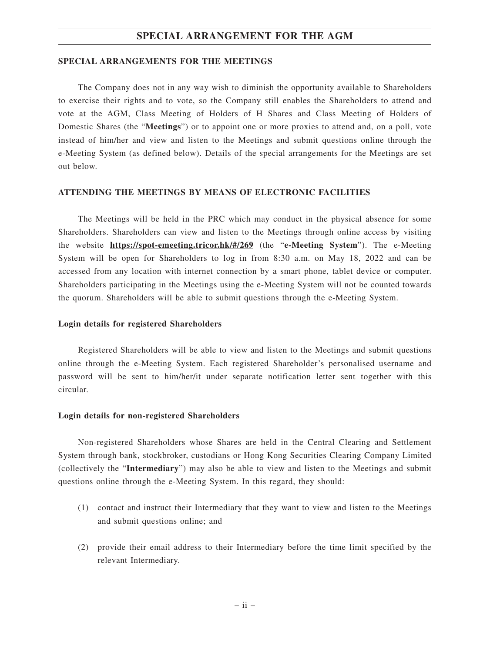#### **SPECIAL ARRANGEMENT FOR THE AGM**

#### **SPECIAL ARRANGEMENTS FOR THE MEETINGS**

The Company does not in any way wish to diminish the opportunity available to Shareholders to exercise their rights and to vote, so the Company still enables the Shareholders to attend and vote at the AGM, Class Meeting of Holders of H Shares and Class Meeting of Holders of Domestic Shares (the "**Meetings**") or to appoint one or more proxies to attend and, on a poll, vote instead of him/her and view and listen to the Meetings and submit questions online through the e-Meeting System (as defined below). Details of the special arrangements for the Meetings are set out below.

#### **ATTENDING THE MEETINGS BY MEANS OF ELECTRONIC FACILITIES**

The Meetings will be held in the PRC which may conduct in the physical absence for some Shareholders. Shareholders can view and listen to the Meetings through online access by visiting the website **https://spot-emeeting.tricor.hk/#/269** (the "**e-Meeting System**"). The e-Meeting System will be open for Shareholders to log in from 8:30 a.m. on May 18, 2022 and can be accessed from any location with internet connection by a smart phone, tablet device or computer. Shareholders participating in the Meetings using the e-Meeting System will not be counted towards the quorum. Shareholders will be able to submit questions through the e-Meeting System.

#### **Login details for registered Shareholders**

Registered Shareholders will be able to view and listen to the Meetings and submit questions online through the e-Meeting System. Each registered Shareholder's personalised username and password will be sent to him/her/it under separate notification letter sent together with this circular.

#### **Login details for non-registered Shareholders**

Non-registered Shareholders whose Shares are held in the Central Clearing and Settlement System through bank, stockbroker, custodians or Hong Kong Securities Clearing Company Limited (collectively the "**Intermediary**") may also be able to view and listen to the Meetings and submit questions online through the e-Meeting System. In this regard, they should:

- (1) contact and instruct their Intermediary that they want to view and listen to the Meetings and submit questions online; and
- (2) provide their email address to their Intermediary before the time limit specified by the relevant Intermediary.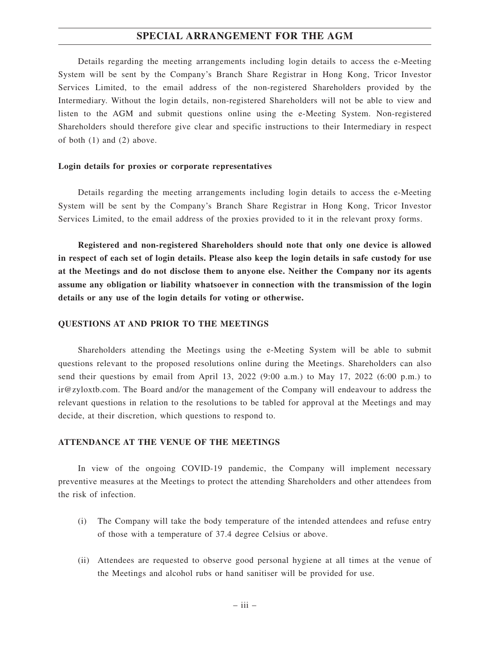#### **SPECIAL ARRANGEMENT FOR THE AGM**

Details regarding the meeting arrangements including login details to access the e-Meeting System will be sent by the Company's Branch Share Registrar in Hong Kong, Tricor Investor Services Limited, to the email address of the non-registered Shareholders provided by the Intermediary. Without the login details, non-registered Shareholders will not be able to view and listen to the AGM and submit questions online using the e-Meeting System. Non-registered Shareholders should therefore give clear and specific instructions to their Intermediary in respect of both (1) and (2) above.

#### **Login details for proxies or corporate representatives**

Details regarding the meeting arrangements including login details to access the e-Meeting System will be sent by the Company's Branch Share Registrar in Hong Kong, Tricor Investor Services Limited, to the email address of the proxies provided to it in the relevant proxy forms.

**Registered and non-registered Shareholders should note that only one device is allowed in respect of each set of login details. Please also keep the login details in safe custody for use at the Meetings and do not disclose them to anyone else. Neither the Company nor its agents assume any obligation or liability whatsoever in connection with the transmission of the login details or any use of the login details for voting or otherwise.**

#### **QUESTIONS AT AND PRIOR TO THE MEETINGS**

Shareholders attending the Meetings using the e-Meeting System will be able to submit questions relevant to the proposed resolutions online during the Meetings. Shareholders can also send their questions by email from April 13, 2022 (9:00 a.m.) to May 17, 2022 (6:00 p.m.) to ir@zyloxtb.com. The Board and/or the management of the Company will endeavour to address the relevant questions in relation to the resolutions to be tabled for approval at the Meetings and may decide, at their discretion, which questions to respond to.

#### **ATTENDANCE AT THE VENUE OF THE MEETINGS**

In view of the ongoing COVID-19 pandemic, the Company will implement necessary preventive measures at the Meetings to protect the attending Shareholders and other attendees from the risk of infection.

- (i) The Company will take the body temperature of the intended attendees and refuse entry of those with a temperature of 37.4 degree Celsius or above.
- (ii) Attendees are requested to observe good personal hygiene at all times at the venue of the Meetings and alcohol rubs or hand sanitiser will be provided for use.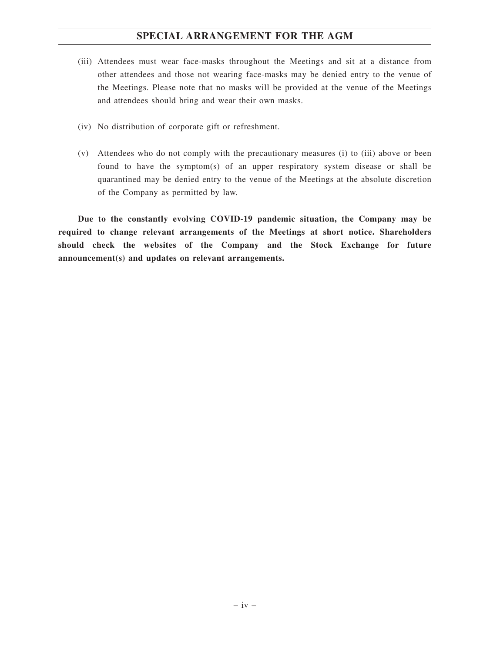## **SPECIAL ARRANGEMENT FOR THE AGM**

- (iii) Attendees must wear face-masks throughout the Meetings and sit at a distance from other attendees and those not wearing face-masks may be denied entry to the venue of the Meetings. Please note that no masks will be provided at the venue of the Meetings and attendees should bring and wear their own masks.
- (iv) No distribution of corporate gift or refreshment.
- (v) Attendees who do not comply with the precautionary measures (i) to (iii) above or been found to have the symptom(s) of an upper respiratory system disease or shall be quarantined may be denied entry to the venue of the Meetings at the absolute discretion of the Company as permitted by law.

**Due to the constantly evolving COVID-19 pandemic situation, the Company may be required to change relevant arrangements of the Meetings at short notice. Shareholders should check the websites of the Company and the Stock Exchange for future announcement(s) and updates on relevant arrangements.**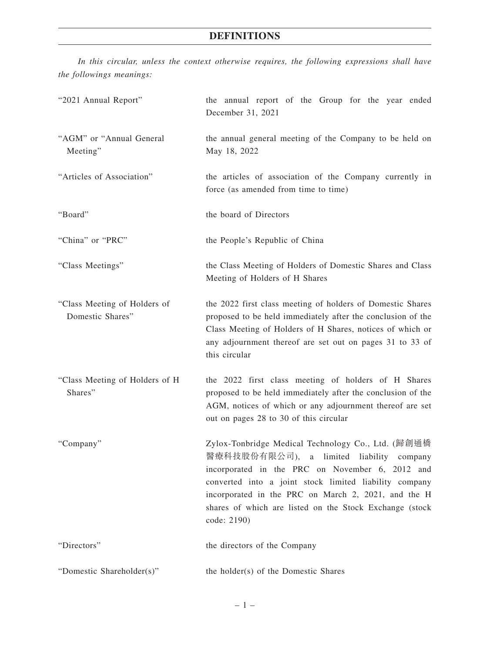*In this circular, unless the context otherwise requires, the following expressions shall have the followings meanings:*

| "2021 Annual Report"                             | the annual report of the Group for the year ended<br>December 31, 2021                                                                                                                                                                                                                                                                          |
|--------------------------------------------------|-------------------------------------------------------------------------------------------------------------------------------------------------------------------------------------------------------------------------------------------------------------------------------------------------------------------------------------------------|
| "AGM" or "Annual General<br>Meeting"             | the annual general meeting of the Company to be held on<br>May 18, 2022                                                                                                                                                                                                                                                                         |
| "Articles of Association"                        | the articles of association of the Company currently in<br>force (as amended from time to time)                                                                                                                                                                                                                                                 |
| "Board"                                          | the board of Directors                                                                                                                                                                                                                                                                                                                          |
| "China" or "PRC"                                 | the People's Republic of China                                                                                                                                                                                                                                                                                                                  |
| "Class Meetings"                                 | the Class Meeting of Holders of Domestic Shares and Class<br>Meeting of Holders of H Shares                                                                                                                                                                                                                                                     |
| "Class Meeting of Holders of<br>Domestic Shares" | the 2022 first class meeting of holders of Domestic Shares<br>proposed to be held immediately after the conclusion of the<br>Class Meeting of Holders of H Shares, notices of which or<br>any adjournment thereof are set out on pages 31 to 33 of<br>this circular                                                                             |
| "Class Meeting of Holders of H<br>Shares"        | the 2022 first class meeting of holders of H Shares<br>proposed to be held immediately after the conclusion of the<br>AGM, notices of which or any adjournment thereof are set<br>out on pages 28 to 30 of this circular                                                                                                                        |
| "Company"                                        | Zylox-Tonbridge Medical Technology Co., Ltd. (歸創通橋<br>醫療科技股份有限公司), a limited liability<br>company<br>incorporated in the PRC on November 6, 2012 and<br>converted into a joint stock limited liability company<br>incorporated in the PRC on March 2, 2021, and the H<br>shares of which are listed on the Stock Exchange (stock<br>code: 2190) |
| "Directors"                                      | the directors of the Company                                                                                                                                                                                                                                                                                                                    |
| "Domestic Shareholder(s)"                        | the holder(s) of the Domestic Shares                                                                                                                                                                                                                                                                                                            |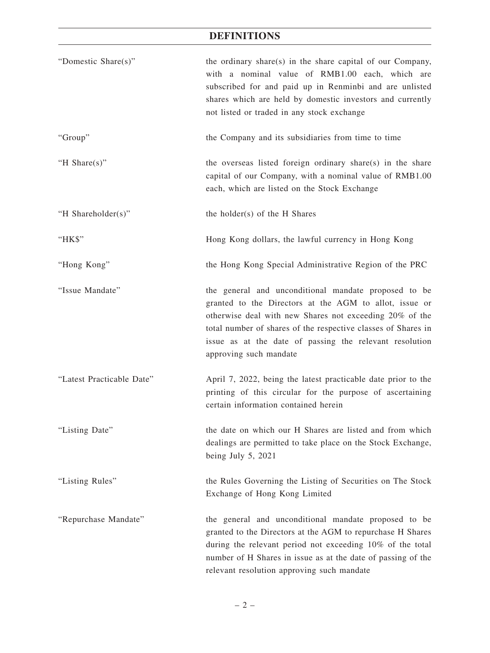## **DEFINITIONS**

| "Domestic Share(s)"       | the ordinary share(s) in the share capital of our Company,<br>with a nominal value of RMB1.00 each, which are<br>subscribed for and paid up in Renminbi and are unlisted<br>shares which are held by domestic investors and currently<br>not listed or traded in any stock exchange                                             |
|---------------------------|---------------------------------------------------------------------------------------------------------------------------------------------------------------------------------------------------------------------------------------------------------------------------------------------------------------------------------|
| "Group"                   | the Company and its subsidiaries from time to time                                                                                                                                                                                                                                                                              |
| "H Share(s)"              | the overseas listed foreign ordinary share(s) in the share<br>capital of our Company, with a nominal value of RMB1.00<br>each, which are listed on the Stock Exchange                                                                                                                                                           |
| "H Shareholder(s)"        | the holder(s) of the H Shares                                                                                                                                                                                                                                                                                                   |
| "HK\$"                    | Hong Kong dollars, the lawful currency in Hong Kong                                                                                                                                                                                                                                                                             |
| "Hong Kong"               | the Hong Kong Special Administrative Region of the PRC                                                                                                                                                                                                                                                                          |
| "Issue Mandate"           | the general and unconditional mandate proposed to be<br>granted to the Directors at the AGM to allot, issue or<br>otherwise deal with new Shares not exceeding 20% of the<br>total number of shares of the respective classes of Shares in<br>issue as at the date of passing the relevant resolution<br>approving such mandate |
| "Latest Practicable Date" | April 7, 2022, being the latest practicable date prior to the<br>printing of this circular for the purpose of ascertaining<br>certain information contained herein                                                                                                                                                              |
| "Listing Date"            | the date on which our H Shares are listed and from which<br>dealings are permitted to take place on the Stock Exchange,<br>being July $5, 2021$                                                                                                                                                                                 |
| "Listing Rules"           | the Rules Governing the Listing of Securities on The Stock<br>Exchange of Hong Kong Limited                                                                                                                                                                                                                                     |
| "Repurchase Mandate"      | the general and unconditional mandate proposed to be<br>granted to the Directors at the AGM to repurchase H Shares<br>during the relevant period not exceeding 10% of the total<br>number of H Shares in issue as at the date of passing of the<br>relevant resolution approving such mandate                                   |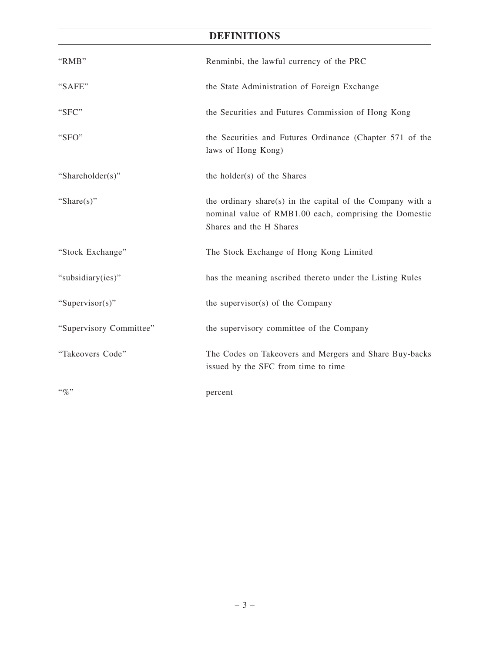## **DEFINITIONS**

| "RMB"                   | Renminbi, the lawful currency of the PRC                                                                                                        |
|-------------------------|-------------------------------------------------------------------------------------------------------------------------------------------------|
| "SAFE"                  | the State Administration of Foreign Exchange                                                                                                    |
| "SFC"                   | the Securities and Futures Commission of Hong Kong                                                                                              |
| "SFO"                   | the Securities and Futures Ordinance (Chapter 571 of the<br>laws of Hong Kong)                                                                  |
| "Shareholder(s)"        | the holder(s) of the Shares                                                                                                                     |
| "Share $(s)$ "          | the ordinary share(s) in the capital of the Company with a<br>nominal value of RMB1.00 each, comprising the Domestic<br>Shares and the H Shares |
| "Stock Exchange"        | The Stock Exchange of Hong Kong Limited                                                                                                         |
| "subsidiary(ies)"       | has the meaning ascribed thereto under the Listing Rules                                                                                        |
| "Supervisor(s)"         | the supervisor(s) of the Company                                                                                                                |
| "Supervisory Committee" | the supervisory committee of the Company                                                                                                        |
| "Takeovers Code"        | The Codes on Takeovers and Mergers and Share Buy-backs<br>issued by the SFC from time to time                                                   |
| $``\%"$                 | percent                                                                                                                                         |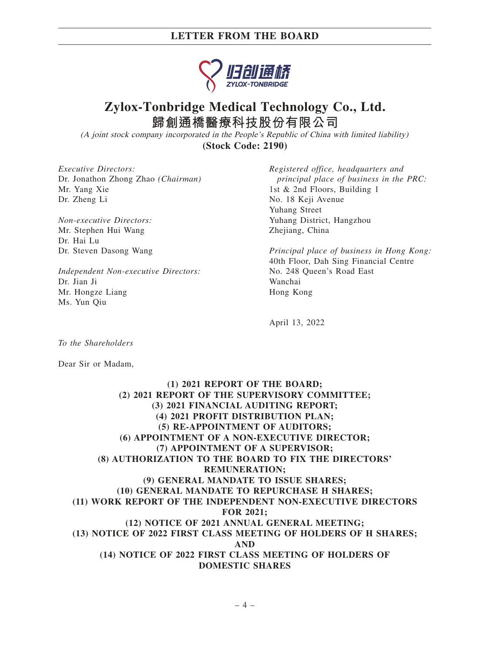

## **Zylox-Tonbridge Medical Technology Co., Ltd. 歸創通橋醫療科技股份有限公司**

(A joint stock company incorporated in the People's Republic of China with limited liability) **(Stock Code: 2190)**

*Executive Directors:* Dr. Jonathon Zhong Zhao *(Chairman)* Mr. Yang Xie Dr. Zheng Li

*Non-executive Directors:* Mr. Stephen Hui Wang Dr. Hai Lu Dr. Steven Dasong Wang

*Independent Non-executive Directors:* Dr. Jian Ji Mr. Hongze Liang Ms. Yun Qiu

*Registered office, headquarters and principal place of business in the PRC:* 1st & 2nd Floors, Building 1 No. 18 Keji Avenue Yuhang Street Yuhang District, Hangzhou Zhejiang, China

*Principal place of business in Hong Kong:* 40th Floor, Dah Sing Financial Centre No. 248 Queen's Road East Wanchai Hong Kong

April 13, 2022

*To the Shareholders*

Dear Sir or Madam,

### **(1) 2021 REPORT OF THE BOARD; (2) 2021 REPORT OF THE SUPERVISORY COMMITTEE; (3) 2021 FINANCIAL AUDITING REPORT; (4) 2021 PROFIT DISTRIBUTION PLAN; (5) RE-APPOINTMENT OF AUDITORS; (6) APPOINTMENT OF A NON-EXECUTIVE DIRECTOR; (7) APPOINTMENT OF A SUPERVISOR; (8) AUTHORIZATION TO THE BOARD TO FIX THE DIRECTORS' REMUNERATION; (9) GENERAL MANDATE TO ISSUE SHARES; (10) GENERAL MANDATE TO REPURCHASE H SHARES; (11) WORK REPORT OF THE INDEPENDENT NON-EXECUTIVE DIRECTORS FOR 2021; (12) NOTICE OF 2021 ANNUAL GENERAL MEETING; (13) NOTICE OF 2022 FIRST CLASS MEETING OF HOLDERS OF H SHARES; AND (14) NOTICE OF 2022 FIRST CLASS MEETING OF HOLDERS OF DOMESTIC SHARES**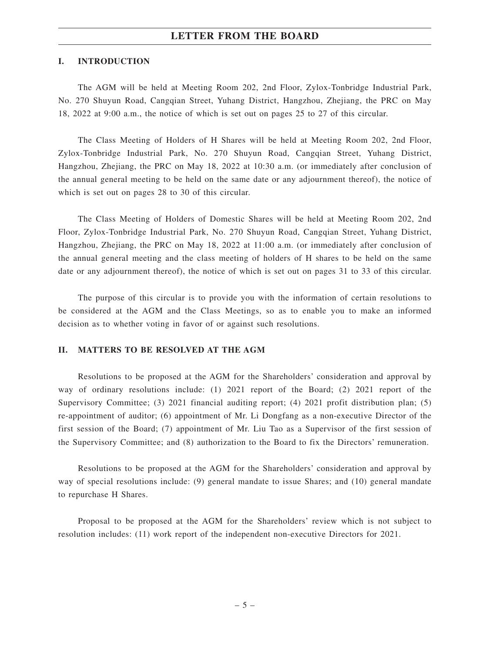#### **I. INTRODUCTION**

The AGM will be held at Meeting Room 202, 2nd Floor, Zylox-Tonbridge Industrial Park, No. 270 Shuyun Road, Cangqian Street, Yuhang District, Hangzhou, Zhejiang, the PRC on May 18, 2022 at 9:00 a.m., the notice of which is set out on pages 25 to 27 of this circular.

The Class Meeting of Holders of H Shares will be held at Meeting Room 202, 2nd Floor, Zylox-Tonbridge Industrial Park, No. 270 Shuyun Road, Cangqian Street, Yuhang District, Hangzhou, Zhejiang, the PRC on May 18, 2022 at 10:30 a.m. (or immediately after conclusion of the annual general meeting to be held on the same date or any adjournment thereof), the notice of which is set out on pages 28 to 30 of this circular.

The Class Meeting of Holders of Domestic Shares will be held at Meeting Room 202, 2nd Floor, Zylox-Tonbridge Industrial Park, No. 270 Shuyun Road, Cangqian Street, Yuhang District, Hangzhou, Zhejiang, the PRC on May 18, 2022 at 11:00 a.m. (or immediately after conclusion of the annual general meeting and the class meeting of holders of H shares to be held on the same date or any adjournment thereof), the notice of which is set out on pages 31 to 33 of this circular.

The purpose of this circular is to provide you with the information of certain resolutions to be considered at the AGM and the Class Meetings, so as to enable you to make an informed decision as to whether voting in favor of or against such resolutions.

#### **II. MATTERS TO BE RESOLVED AT THE AGM**

Resolutions to be proposed at the AGM for the Shareholders' consideration and approval by way of ordinary resolutions include: (1) 2021 report of the Board; (2) 2021 report of the Supervisory Committee; (3) 2021 financial auditing report; (4) 2021 profit distribution plan; (5) re-appointment of auditor; (6) appointment of Mr. Li Dongfang as a non-executive Director of the first session of the Board; (7) appointment of Mr. Liu Tao as a Supervisor of the first session of the Supervisory Committee; and (8) authorization to the Board to fix the Directors' remuneration.

Resolutions to be proposed at the AGM for the Shareholders' consideration and approval by way of special resolutions include: (9) general mandate to issue Shares; and (10) general mandate to repurchase H Shares.

Proposal to be proposed at the AGM for the Shareholders' review which is not subject to resolution includes: (11) work report of the independent non-executive Directors for 2021.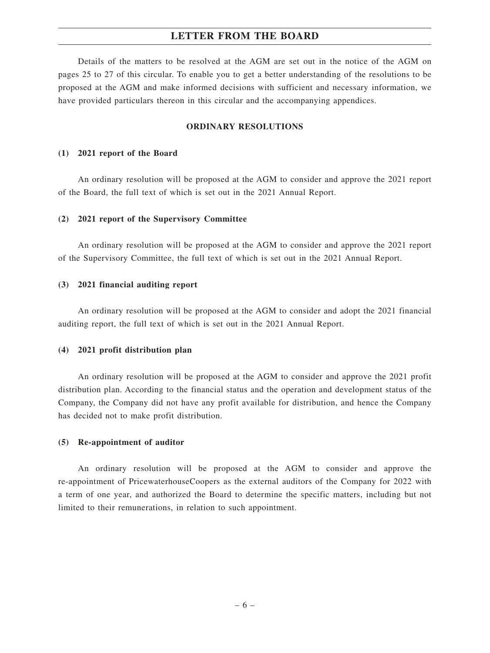Details of the matters to be resolved at the AGM are set out in the notice of the AGM on pages 25 to 27 of this circular. To enable you to get a better understanding of the resolutions to be proposed at the AGM and make informed decisions with sufficient and necessary information, we have provided particulars thereon in this circular and the accompanying appendices.

#### **ORDINARY RESOLUTIONS**

#### **(1) 2021 report of the Board**

An ordinary resolution will be proposed at the AGM to consider and approve the 2021 report of the Board, the full text of which is set out in the 2021 Annual Report.

#### **(2) 2021 report of the Supervisory Committee**

An ordinary resolution will be proposed at the AGM to consider and approve the 2021 report of the Supervisory Committee, the full text of which is set out in the 2021 Annual Report.

#### **(3) 2021 financial auditing report**

An ordinary resolution will be proposed at the AGM to consider and adopt the 2021 financial auditing report, the full text of which is set out in the 2021 Annual Report.

#### **(4) 2021 profit distribution plan**

An ordinary resolution will be proposed at the AGM to consider and approve the 2021 profit distribution plan. According to the financial status and the operation and development status of the Company, the Company did not have any profit available for distribution, and hence the Company has decided not to make profit distribution.

#### **(5) Re-appointment of auditor**

An ordinary resolution will be proposed at the AGM to consider and approve the re-appointment of PricewaterhouseCoopers as the external auditors of the Company for 2022 with a term of one year, and authorized the Board to determine the specific matters, including but not limited to their remunerations, in relation to such appointment.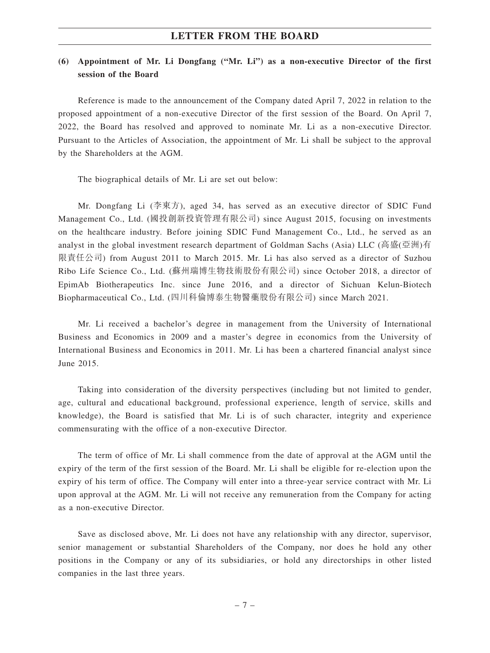## **(6) Appointment of Mr. Li Dongfang ("Mr. Li") as a non-executive Director of the first session of the Board**

Reference is made to the announcement of the Company dated April 7, 2022 in relation to the proposed appointment of a non-executive Director of the first session of the Board. On April 7, 2022, the Board has resolved and approved to nominate Mr. Li as a non-executive Director. Pursuant to the Articles of Association, the appointment of Mr. Li shall be subject to the approval by the Shareholders at the AGM.

The biographical details of Mr. Li are set out below:

Mr. Dongfang Li (李東方), aged 34, has served as an executive director of SDIC Fund Management Co., Ltd. (國投創新投資管理有限公司) since August 2015, focusing on investments on the healthcare industry. Before joining SDIC Fund Management Co., Ltd., he served as an analyst in the global investment research department of Goldman Sachs (Asia) LLC (高盛(亞洲)有 限責任公司) from August 2011 to March 2015. Mr. Li has also served as a director of Suzhou Ribo Life Science Co., Ltd. (蘇州瑞博生物技術股份有限公司) since October 2018, a director of EpimAb Biotherapeutics Inc. since June 2016, and a director of Sichuan Kelun-Biotech Biopharmaceutical Co., Ltd. (四川科倫博泰生物醫藥股份有限公司) since March 2021.

Mr. Li received a bachelor's degree in management from the University of International Business and Economics in 2009 and a master's degree in economics from the University of International Business and Economics in 2011. Mr. Li has been a chartered financial analyst since June 2015.

Taking into consideration of the diversity perspectives (including but not limited to gender, age, cultural and educational background, professional experience, length of service, skills and knowledge), the Board is satisfied that Mr. Li is of such character, integrity and experience commensurating with the office of a non-executive Director.

The term of office of Mr. Li shall commence from the date of approval at the AGM until the expiry of the term of the first session of the Board. Mr. Li shall be eligible for re-election upon the expiry of his term of office. The Company will enter into a three-year service contract with Mr. Li upon approval at the AGM. Mr. Li will not receive any remuneration from the Company for acting as a non-executive Director.

Save as disclosed above, Mr. Li does not have any relationship with any director, supervisor, senior management or substantial Shareholders of the Company, nor does he hold any other positions in the Company or any of its subsidiaries, or hold any directorships in other listed companies in the last three years.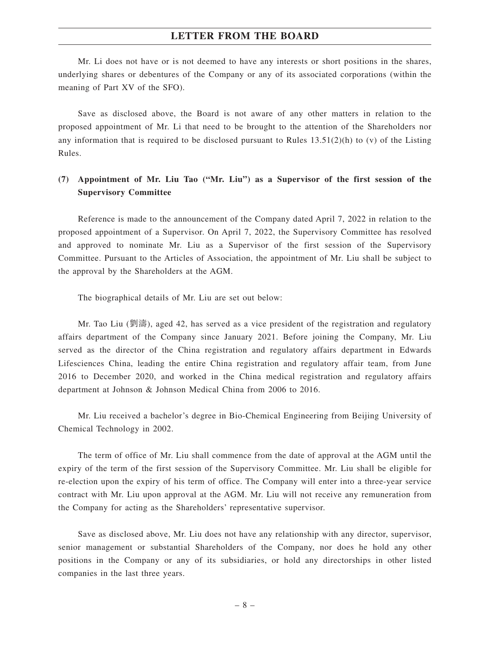Mr. Li does not have or is not deemed to have any interests or short positions in the shares, underlying shares or debentures of the Company or any of its associated corporations (within the meaning of Part XV of the SFO).

Save as disclosed above, the Board is not aware of any other matters in relation to the proposed appointment of Mr. Li that need to be brought to the attention of the Shareholders nor any information that is required to be disclosed pursuant to Rules  $13.51(2)(h)$  to (v) of the Listing Rules.

## **(7) Appointment of Mr. Liu Tao ("Mr. Liu") as a Supervisor of the first session of the Supervisory Committee**

Reference is made to the announcement of the Company dated April 7, 2022 in relation to the proposed appointment of a Supervisor. On April 7, 2022, the Supervisory Committee has resolved and approved to nominate Mr. Liu as a Supervisor of the first session of the Supervisory Committee. Pursuant to the Articles of Association, the appointment of Mr. Liu shall be subject to the approval by the Shareholders at the AGM.

The biographical details of Mr. Liu are set out below:

Mr. Tao Liu (劉濤), aged 42, has served as a vice president of the registration and regulatory affairs department of the Company since January 2021. Before joining the Company, Mr. Liu served as the director of the China registration and regulatory affairs department in Edwards Lifesciences China, leading the entire China registration and regulatory affair team, from June 2016 to December 2020, and worked in the China medical registration and regulatory affairs department at Johnson & Johnson Medical China from 2006 to 2016.

Mr. Liu received a bachelor's degree in Bio-Chemical Engineering from Beijing University of Chemical Technology in 2002.

The term of office of Mr. Liu shall commence from the date of approval at the AGM until the expiry of the term of the first session of the Supervisory Committee. Mr. Liu shall be eligible for re-election upon the expiry of his term of office. The Company will enter into a three-year service contract with Mr. Liu upon approval at the AGM. Mr. Liu will not receive any remuneration from the Company for acting as the Shareholders' representative supervisor.

Save as disclosed above, Mr. Liu does not have any relationship with any director, supervisor, senior management or substantial Shareholders of the Company, nor does he hold any other positions in the Company or any of its subsidiaries, or hold any directorships in other listed companies in the last three years.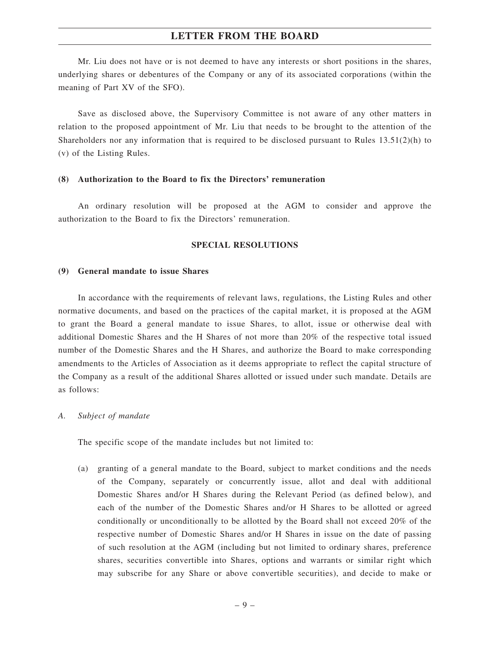Mr. Liu does not have or is not deemed to have any interests or short positions in the shares, underlying shares or debentures of the Company or any of its associated corporations (within the meaning of Part XV of the SFO).

Save as disclosed above, the Supervisory Committee is not aware of any other matters in relation to the proposed appointment of Mr. Liu that needs to be brought to the attention of the Shareholders nor any information that is required to be disclosed pursuant to Rules  $13.51(2)(h)$  to (v) of the Listing Rules.

#### **(8) Authorization to the Board to fix the Directors' remuneration**

An ordinary resolution will be proposed at the AGM to consider and approve the authorization to the Board to fix the Directors' remuneration.

#### **SPECIAL RESOLUTIONS**

#### **(9) General mandate to issue Shares**

In accordance with the requirements of relevant laws, regulations, the Listing Rules and other normative documents, and based on the practices of the capital market, it is proposed at the AGM to grant the Board a general mandate to issue Shares, to allot, issue or otherwise deal with additional Domestic Shares and the H Shares of not more than 20% of the respective total issued number of the Domestic Shares and the H Shares, and authorize the Board to make corresponding amendments to the Articles of Association as it deems appropriate to reflect the capital structure of the Company as a result of the additional Shares allotted or issued under such mandate. Details are as follows:

#### *A. Subject of mandate*

The specific scope of the mandate includes but not limited to:

(a) granting of a general mandate to the Board, subject to market conditions and the needs of the Company, separately or concurrently issue, allot and deal with additional Domestic Shares and/or H Shares during the Relevant Period (as defined below), and each of the number of the Domestic Shares and/or H Shares to be allotted or agreed conditionally or unconditionally to be allotted by the Board shall not exceed 20% of the respective number of Domestic Shares and/or H Shares in issue on the date of passing of such resolution at the AGM (including but not limited to ordinary shares, preference shares, securities convertible into Shares, options and warrants or similar right which may subscribe for any Share or above convertible securities), and decide to make or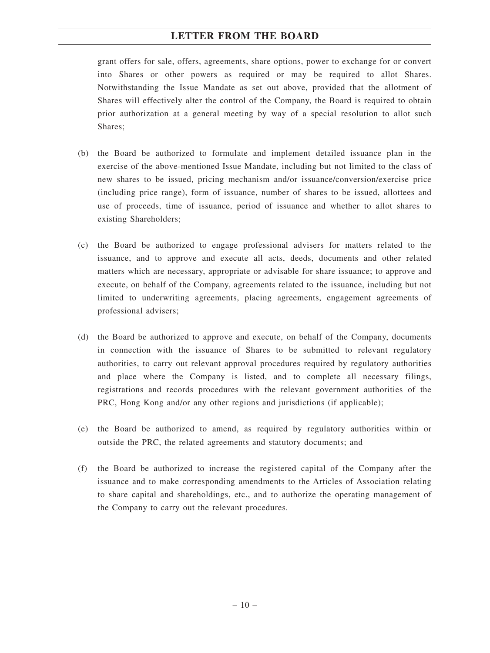grant offers for sale, offers, agreements, share options, power to exchange for or convert into Shares or other powers as required or may be required to allot Shares. Notwithstanding the Issue Mandate as set out above, provided that the allotment of Shares will effectively alter the control of the Company, the Board is required to obtain prior authorization at a general meeting by way of a special resolution to allot such Shares;

- (b) the Board be authorized to formulate and implement detailed issuance plan in the exercise of the above-mentioned Issue Mandate, including but not limited to the class of new shares to be issued, pricing mechanism and/or issuance/conversion/exercise price (including price range), form of issuance, number of shares to be issued, allottees and use of proceeds, time of issuance, period of issuance and whether to allot shares to existing Shareholders;
- (c) the Board be authorized to engage professional advisers for matters related to the issuance, and to approve and execute all acts, deeds, documents and other related matters which are necessary, appropriate or advisable for share issuance; to approve and execute, on behalf of the Company, agreements related to the issuance, including but not limited to underwriting agreements, placing agreements, engagement agreements of professional advisers;
- (d) the Board be authorized to approve and execute, on behalf of the Company, documents in connection with the issuance of Shares to be submitted to relevant regulatory authorities, to carry out relevant approval procedures required by regulatory authorities and place where the Company is listed, and to complete all necessary filings, registrations and records procedures with the relevant government authorities of the PRC, Hong Kong and/or any other regions and jurisdictions (if applicable);
- (e) the Board be authorized to amend, as required by regulatory authorities within or outside the PRC, the related agreements and statutory documents; and
- (f) the Board be authorized to increase the registered capital of the Company after the issuance and to make corresponding amendments to the Articles of Association relating to share capital and shareholdings, etc., and to authorize the operating management of the Company to carry out the relevant procedures.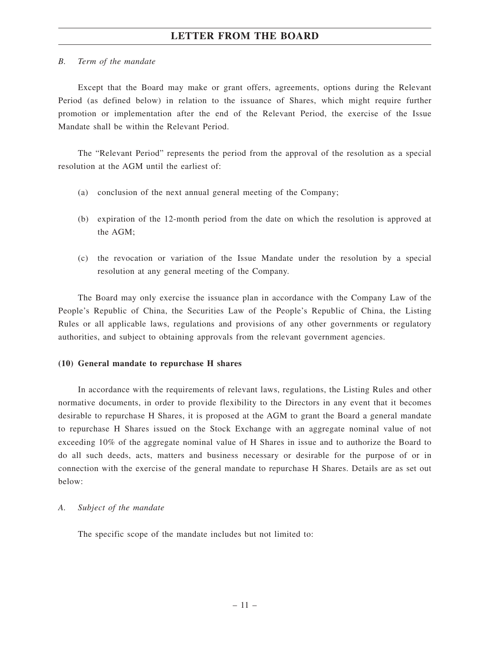#### *B. Term of the mandate*

Except that the Board may make or grant offers, agreements, options during the Relevant Period (as defined below) in relation to the issuance of Shares, which might require further promotion or implementation after the end of the Relevant Period, the exercise of the Issue Mandate shall be within the Relevant Period.

The "Relevant Period" represents the period from the approval of the resolution as a special resolution at the AGM until the earliest of:

- (a) conclusion of the next annual general meeting of the Company;
- (b) expiration of the 12-month period from the date on which the resolution is approved at the AGM;
- (c) the revocation or variation of the Issue Mandate under the resolution by a special resolution at any general meeting of the Company.

The Board may only exercise the issuance plan in accordance with the Company Law of the People's Republic of China, the Securities Law of the People's Republic of China, the Listing Rules or all applicable laws, regulations and provisions of any other governments or regulatory authorities, and subject to obtaining approvals from the relevant government agencies.

#### **(10) General mandate to repurchase H shares**

In accordance with the requirements of relevant laws, regulations, the Listing Rules and other normative documents, in order to provide flexibility to the Directors in any event that it becomes desirable to repurchase H Shares, it is proposed at the AGM to grant the Board a general mandate to repurchase H Shares issued on the Stock Exchange with an aggregate nominal value of not exceeding 10% of the aggregate nominal value of H Shares in issue and to authorize the Board to do all such deeds, acts, matters and business necessary or desirable for the purpose of or in connection with the exercise of the general mandate to repurchase H Shares. Details are as set out below:

#### *A. Subject of the mandate*

The specific scope of the mandate includes but not limited to: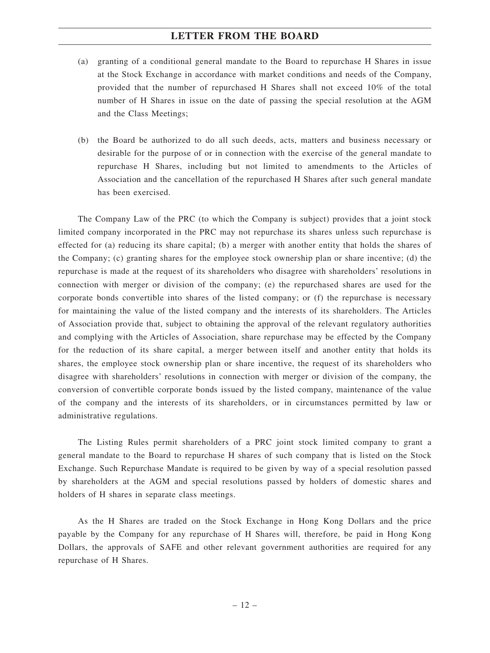- (a) granting of a conditional general mandate to the Board to repurchase H Shares in issue at the Stock Exchange in accordance with market conditions and needs of the Company, provided that the number of repurchased H Shares shall not exceed 10% of the total number of H Shares in issue on the date of passing the special resolution at the AGM and the Class Meetings;
- (b) the Board be authorized to do all such deeds, acts, matters and business necessary or desirable for the purpose of or in connection with the exercise of the general mandate to repurchase H Shares, including but not limited to amendments to the Articles of Association and the cancellation of the repurchased H Shares after such general mandate has been exercised.

The Company Law of the PRC (to which the Company is subject) provides that a joint stock limited company incorporated in the PRC may not repurchase its shares unless such repurchase is effected for (a) reducing its share capital; (b) a merger with another entity that holds the shares of the Company; (c) granting shares for the employee stock ownership plan or share incentive; (d) the repurchase is made at the request of its shareholders who disagree with shareholders' resolutions in connection with merger or division of the company; (e) the repurchased shares are used for the corporate bonds convertible into shares of the listed company; or (f) the repurchase is necessary for maintaining the value of the listed company and the interests of its shareholders. The Articles of Association provide that, subject to obtaining the approval of the relevant regulatory authorities and complying with the Articles of Association, share repurchase may be effected by the Company for the reduction of its share capital, a merger between itself and another entity that holds its shares, the employee stock ownership plan or share incentive, the request of its shareholders who disagree with shareholders' resolutions in connection with merger or division of the company, the conversion of convertible corporate bonds issued by the listed company, maintenance of the value of the company and the interests of its shareholders, or in circumstances permitted by law or administrative regulations.

The Listing Rules permit shareholders of a PRC joint stock limited company to grant a general mandate to the Board to repurchase H shares of such company that is listed on the Stock Exchange. Such Repurchase Mandate is required to be given by way of a special resolution passed by shareholders at the AGM and special resolutions passed by holders of domestic shares and holders of H shares in separate class meetings.

As the H Shares are traded on the Stock Exchange in Hong Kong Dollars and the price payable by the Company for any repurchase of H Shares will, therefore, be paid in Hong Kong Dollars, the approvals of SAFE and other relevant government authorities are required for any repurchase of H Shares.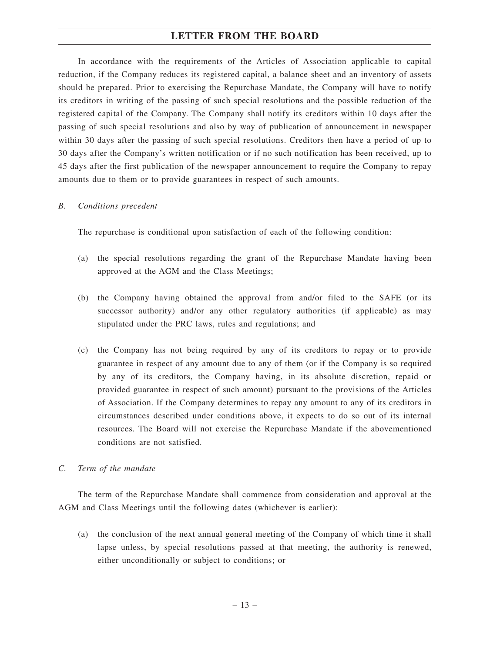In accordance with the requirements of the Articles of Association applicable to capital reduction, if the Company reduces its registered capital, a balance sheet and an inventory of assets should be prepared. Prior to exercising the Repurchase Mandate, the Company will have to notify its creditors in writing of the passing of such special resolutions and the possible reduction of the registered capital of the Company. The Company shall notify its creditors within 10 days after the passing of such special resolutions and also by way of publication of announcement in newspaper within 30 days after the passing of such special resolutions. Creditors then have a period of up to 30 days after the Company's written notification or if no such notification has been received, up to 45 days after the first publication of the newspaper announcement to require the Company to repay amounts due to them or to provide guarantees in respect of such amounts.

#### *B. Conditions precedent*

The repurchase is conditional upon satisfaction of each of the following condition:

- (a) the special resolutions regarding the grant of the Repurchase Mandate having been approved at the AGM and the Class Meetings;
- (b) the Company having obtained the approval from and/or filed to the SAFE (or its successor authority) and/or any other regulatory authorities (if applicable) as may stipulated under the PRC laws, rules and regulations; and
- (c) the Company has not being required by any of its creditors to repay or to provide guarantee in respect of any amount due to any of them (or if the Company is so required by any of its creditors, the Company having, in its absolute discretion, repaid or provided guarantee in respect of such amount) pursuant to the provisions of the Articles of Association. If the Company determines to repay any amount to any of its creditors in circumstances described under conditions above, it expects to do so out of its internal resources. The Board will not exercise the Repurchase Mandate if the abovementioned conditions are not satisfied.

#### *C. Term of the mandate*

The term of the Repurchase Mandate shall commence from consideration and approval at the AGM and Class Meetings until the following dates (whichever is earlier):

(a) the conclusion of the next annual general meeting of the Company of which time it shall lapse unless, by special resolutions passed at that meeting, the authority is renewed, either unconditionally or subject to conditions; or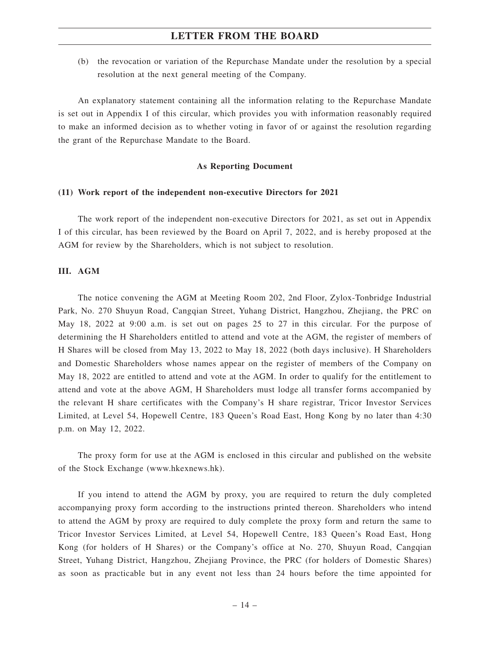(b) the revocation or variation of the Repurchase Mandate under the resolution by a special resolution at the next general meeting of the Company.

An explanatory statement containing all the information relating to the Repurchase Mandate is set out in Appendix I of this circular, which provides you with information reasonably required to make an informed decision as to whether voting in favor of or against the resolution regarding the grant of the Repurchase Mandate to the Board.

#### **As Reporting Document**

#### **(11) Work report of the independent non-executive Directors for 2021**

The work report of the independent non-executive Directors for 2021, as set out in Appendix I of this circular, has been reviewed by the Board on April 7, 2022, and is hereby proposed at the AGM for review by the Shareholders, which is not subject to resolution.

#### **III. AGM**

The notice convening the AGM at Meeting Room 202, 2nd Floor, Zylox-Tonbridge Industrial Park, No. 270 Shuyun Road, Cangqian Street, Yuhang District, Hangzhou, Zhejiang, the PRC on May 18, 2022 at 9:00 a.m. is set out on pages 25 to 27 in this circular. For the purpose of determining the H Shareholders entitled to attend and vote at the AGM, the register of members of H Shares will be closed from May 13, 2022 to May 18, 2022 (both days inclusive). H Shareholders and Domestic Shareholders whose names appear on the register of members of the Company on May 18, 2022 are entitled to attend and vote at the AGM. In order to qualify for the entitlement to attend and vote at the above AGM, H Shareholders must lodge all transfer forms accompanied by the relevant H share certificates with the Company's H share registrar, Tricor Investor Services Limited, at Level 54, Hopewell Centre, 183 Queen's Road East, Hong Kong by no later than 4:30 p.m. on May 12, 2022.

The proxy form for use at the AGM is enclosed in this circular and published on the website of the Stock Exchange (www.hkexnews.hk).

If you intend to attend the AGM by proxy, you are required to return the duly completed accompanying proxy form according to the instructions printed thereon. Shareholders who intend to attend the AGM by proxy are required to duly complete the proxy form and return the same to Tricor Investor Services Limited, at Level 54, Hopewell Centre, 183 Queen's Road East, Hong Kong (for holders of H Shares) or the Company's office at No. 270, Shuyun Road, Cangqian Street, Yuhang District, Hangzhou, Zhejiang Province, the PRC (for holders of Domestic Shares) as soon as practicable but in any event not less than 24 hours before the time appointed for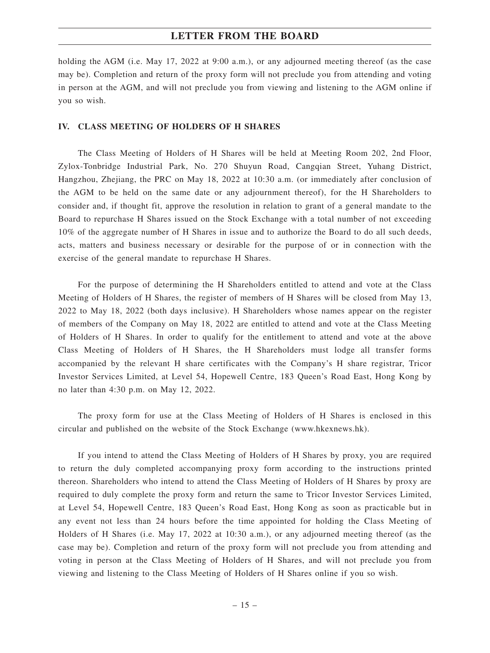holding the AGM (i.e. May 17, 2022 at 9:00 a.m.), or any adjourned meeting thereof (as the case may be). Completion and return of the proxy form will not preclude you from attending and voting in person at the AGM, and will not preclude you from viewing and listening to the AGM online if you so wish.

#### **IV. CLASS MEETING OF HOLDERS OF H SHARES**

The Class Meeting of Holders of H Shares will be held at Meeting Room 202, 2nd Floor, Zylox-Tonbridge Industrial Park, No. 270 Shuyun Road, Cangqian Street, Yuhang District, Hangzhou, Zhejiang, the PRC on May 18, 2022 at 10:30 a.m. (or immediately after conclusion of the AGM to be held on the same date or any adjournment thereof), for the H Shareholders to consider and, if thought fit, approve the resolution in relation to grant of a general mandate to the Board to repurchase H Shares issued on the Stock Exchange with a total number of not exceeding 10% of the aggregate number of H Shares in issue and to authorize the Board to do all such deeds, acts, matters and business necessary or desirable for the purpose of or in connection with the exercise of the general mandate to repurchase H Shares.

For the purpose of determining the H Shareholders entitled to attend and vote at the Class Meeting of Holders of H Shares, the register of members of H Shares will be closed from May 13, 2022 to May 18, 2022 (both days inclusive). H Shareholders whose names appear on the register of members of the Company on May 18, 2022 are entitled to attend and vote at the Class Meeting of Holders of H Shares. In order to qualify for the entitlement to attend and vote at the above Class Meeting of Holders of H Shares, the H Shareholders must lodge all transfer forms accompanied by the relevant H share certificates with the Company's H share registrar, Tricor Investor Services Limited, at Level 54, Hopewell Centre, 183 Queen's Road East, Hong Kong by no later than 4:30 p.m. on May 12, 2022.

The proxy form for use at the Class Meeting of Holders of H Shares is enclosed in this circular and published on the website of the Stock Exchange (www.hkexnews.hk).

If you intend to attend the Class Meeting of Holders of H Shares by proxy, you are required to return the duly completed accompanying proxy form according to the instructions printed thereon. Shareholders who intend to attend the Class Meeting of Holders of H Shares by proxy are required to duly complete the proxy form and return the same to Tricor Investor Services Limited, at Level 54, Hopewell Centre, 183 Queen's Road East, Hong Kong as soon as practicable but in any event not less than 24 hours before the time appointed for holding the Class Meeting of Holders of H Shares (i.e. May 17, 2022 at 10:30 a.m.), or any adjourned meeting thereof (as the case may be). Completion and return of the proxy form will not preclude you from attending and voting in person at the Class Meeting of Holders of H Shares, and will not preclude you from viewing and listening to the Class Meeting of Holders of H Shares online if you so wish.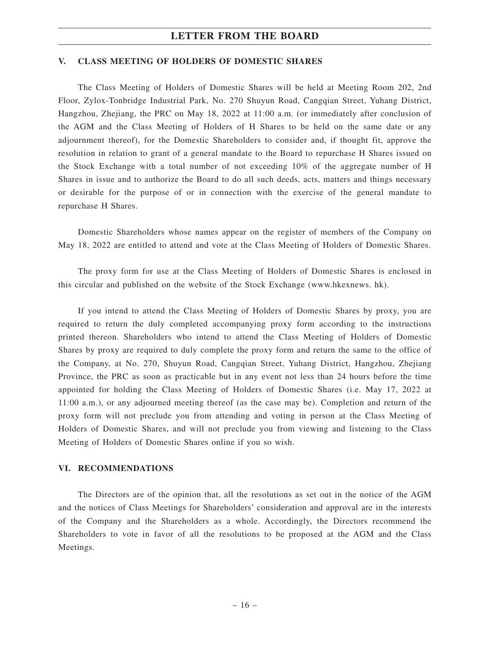#### **V. CLASS MEETING OF HOLDERS OF DOMESTIC SHARES**

The Class Meeting of Holders of Domestic Shares will be held at Meeting Room 202, 2nd Floor, Zylox-Tonbridge Industrial Park, No. 270 Shuyun Road, Cangqian Street, Yuhang District, Hangzhou, Zhejiang, the PRC on May 18, 2022 at 11:00 a.m. (or immediately after conclusion of the AGM and the Class Meeting of Holders of H Shares to be held on the same date or any adjournment thereof), for the Domestic Shareholders to consider and, if thought fit, approve the resolution in relation to grant of a general mandate to the Board to repurchase H Shares issued on the Stock Exchange with a total number of not exceeding 10% of the aggregate number of H Shares in issue and to authorize the Board to do all such deeds, acts, matters and things necessary or desirable for the purpose of or in connection with the exercise of the general mandate to repurchase H Shares.

Domestic Shareholders whose names appear on the register of members of the Company on May 18, 2022 are entitled to attend and vote at the Class Meeting of Holders of Domestic Shares.

The proxy form for use at the Class Meeting of Holders of Domestic Shares is enclosed in this circular and published on the website of the Stock Exchange (www.hkexnews. hk).

If you intend to attend the Class Meeting of Holders of Domestic Shares by proxy, you are required to return the duly completed accompanying proxy form according to the instructions printed thereon. Shareholders who intend to attend the Class Meeting of Holders of Domestic Shares by proxy are required to duly complete the proxy form and return the same to the office of the Company, at No. 270, Shuyun Road, Cangqian Street, Yuhang District, Hangzhou, Zhejiang Province, the PRC as soon as practicable but in any event not less than 24 hours before the time appointed for holding the Class Meeting of Holders of Domestic Shares (i.e. May 17, 2022 at 11:00 a.m.), or any adjourned meeting thereof (as the case may be). Completion and return of the proxy form will not preclude you from attending and voting in person at the Class Meeting of Holders of Domestic Shares, and will not preclude you from viewing and listening to the Class Meeting of Holders of Domestic Shares online if you so wish.

#### **VI. RECOMMENDATIONS**

The Directors are of the opinion that, all the resolutions as set out in the notice of the AGM and the notices of Class Meetings for Shareholders' consideration and approval are in the interests of the Company and the Shareholders as a whole. Accordingly, the Directors recommend the Shareholders to vote in favor of all the resolutions to be proposed at the AGM and the Class Meetings.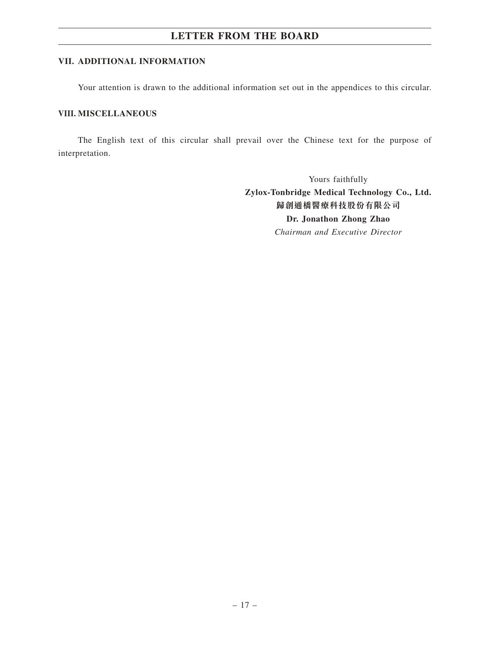#### **VII. ADDITIONAL INFORMATION**

Your attention is drawn to the additional information set out in the appendices to this circular.

#### **VIII. MISCELLANEOUS**

The English text of this circular shall prevail over the Chinese text for the purpose of interpretation.

> Yours faithfully **Zylox-Tonbridge Medical Technology Co., Ltd. 歸創通橋醫療科技股份有限公司 Dr. Jonathon Zhong Zhao** *Chairman and Executive Director*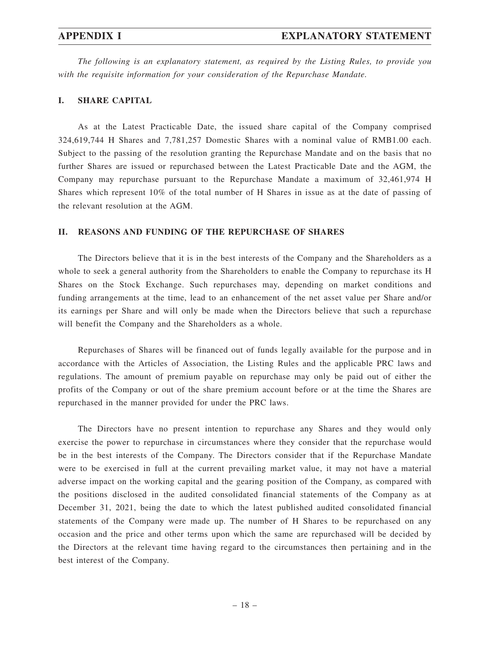*The following is an explanatory statement, as required by the Listing Rules, to provide you with the requisite information for your consideration of the Repurchase Mandate.*

#### **I. SHARE CAPITAL**

As at the Latest Practicable Date, the issued share capital of the Company comprised 324,619,744 H Shares and 7,781,257 Domestic Shares with a nominal value of RMB1.00 each. Subject to the passing of the resolution granting the Repurchase Mandate and on the basis that no further Shares are issued or repurchased between the Latest Practicable Date and the AGM, the Company may repurchase pursuant to the Repurchase Mandate a maximum of 32,461,974 H Shares which represent 10% of the total number of H Shares in issue as at the date of passing of the relevant resolution at the AGM.

#### **II. REASONS AND FUNDING OF THE REPURCHASE OF SHARES**

The Directors believe that it is in the best interests of the Company and the Shareholders as a whole to seek a general authority from the Shareholders to enable the Company to repurchase its H Shares on the Stock Exchange. Such repurchases may, depending on market conditions and funding arrangements at the time, lead to an enhancement of the net asset value per Share and/or its earnings per Share and will only be made when the Directors believe that such a repurchase will benefit the Company and the Shareholders as a whole.

Repurchases of Shares will be financed out of funds legally available for the purpose and in accordance with the Articles of Association, the Listing Rules and the applicable PRC laws and regulations. The amount of premium payable on repurchase may only be paid out of either the profits of the Company or out of the share premium account before or at the time the Shares are repurchased in the manner provided for under the PRC laws.

The Directors have no present intention to repurchase any Shares and they would only exercise the power to repurchase in circumstances where they consider that the repurchase would be in the best interests of the Company. The Directors consider that if the Repurchase Mandate were to be exercised in full at the current prevailing market value, it may not have a material adverse impact on the working capital and the gearing position of the Company, as compared with the positions disclosed in the audited consolidated financial statements of the Company as at December 31, 2021, being the date to which the latest published audited consolidated financial statements of the Company were made up. The number of H Shares to be repurchased on any occasion and the price and other terms upon which the same are repurchased will be decided by the Directors at the relevant time having regard to the circumstances then pertaining and in the best interest of the Company.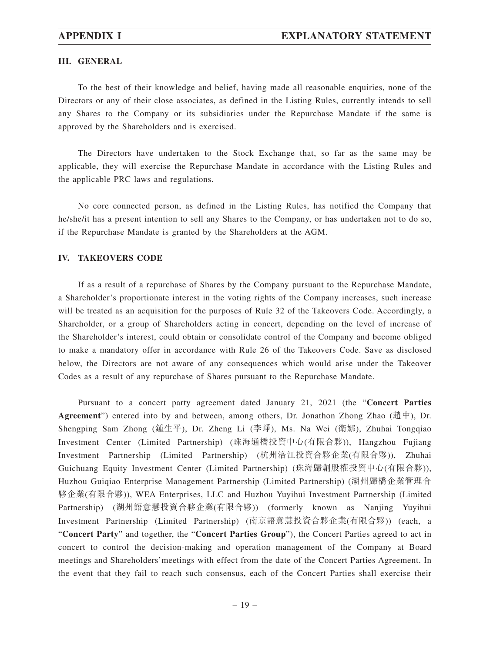#### **III. GENERAL**

To the best of their knowledge and belief, having made all reasonable enquiries, none of the Directors or any of their close associates, as defined in the Listing Rules, currently intends to sell any Shares to the Company or its subsidiaries under the Repurchase Mandate if the same is approved by the Shareholders and is exercised.

The Directors have undertaken to the Stock Exchange that, so far as the same may be applicable, they will exercise the Repurchase Mandate in accordance with the Listing Rules and the applicable PRC laws and regulations.

No core connected person, as defined in the Listing Rules, has notified the Company that he/she/it has a present intention to sell any Shares to the Company, or has undertaken not to do so, if the Repurchase Mandate is granted by the Shareholders at the AGM.

#### **IV. TAKEOVERS CODE**

If as a result of a repurchase of Shares by the Company pursuant to the Repurchase Mandate, a Shareholder's proportionate interest in the voting rights of the Company increases, such increase will be treated as an acquisition for the purposes of Rule 32 of the Takeovers Code. Accordingly, a Shareholder, or a group of Shareholders acting in concert, depending on the level of increase of the Shareholder's interest, could obtain or consolidate control of the Company and become obliged to make a mandatory offer in accordance with Rule 26 of the Takeovers Code. Save as disclosed below, the Directors are not aware of any consequences which would arise under the Takeover Codes as a result of any repurchase of Shares pursuant to the Repurchase Mandate.

Pursuant to a concert party agreement dated January 21, 2021 (the "**Concert Parties Agreement**") entered into by and between, among others, Dr. Jonathon Zhong Zhao (趙中), Dr. Shengping Sam Zhong (鍾生平), Dr. Zheng Li (李崢), Ms. Na Wei (衛娜), Zhuhai Tongqiao Investment Center (Limited Partnership) (珠海通橋投資中心(有限合夥)), Hangzhou Fujiang Investment Partnership (Limited Partnership) (杭州涪江投資合夥企業(有限合夥)), Zhuhai Guichuang Equity Investment Center (Limited Partnership) (珠海歸創股權投資中心(有限合夥)), Huzhou Guiqiao Enterprise Management Partnership (Limited Partnership) (湖州歸橋企業管理合 夥企業(有限合夥)), WEA Enterprises, LLC and Huzhou Yuyihui Investment Partnership (Limited Partnership) (湖州語意慧投資合夥企業(有限合夥)) (formerly known as Nanjing Yuyihui Investment Partnership (Limited Partnership) (南京語意慧投資合夥企業(有限合夥)) (each, a "**Concert Party**" and together, the "**Concert Parties Group**"), the Concert Parties agreed to act in concert to control the decision-making and operation management of the Company at Board meetings and Shareholders'meetings with effect from the date of the Concert Parties Agreement. In the event that they fail to reach such consensus, each of the Concert Parties shall exercise their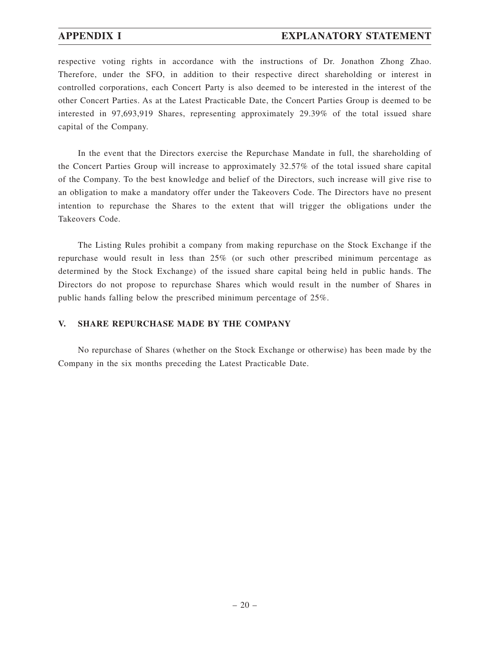#### **APPENDIX I EXPLANATORY STATEMENT**

respective voting rights in accordance with the instructions of Dr. Jonathon Zhong Zhao. Therefore, under the SFO, in addition to their respective direct shareholding or interest in controlled corporations, each Concert Party is also deemed to be interested in the interest of the other Concert Parties. As at the Latest Practicable Date, the Concert Parties Group is deemed to be interested in 97,693,919 Shares, representing approximately 29.39% of the total issued share capital of the Company.

In the event that the Directors exercise the Repurchase Mandate in full, the shareholding of the Concert Parties Group will increase to approximately 32.57% of the total issued share capital of the Company. To the best knowledge and belief of the Directors, such increase will give rise to an obligation to make a mandatory offer under the Takeovers Code. The Directors have no present intention to repurchase the Shares to the extent that will trigger the obligations under the Takeovers Code.

The Listing Rules prohibit a company from making repurchase on the Stock Exchange if the repurchase would result in less than 25% (or such other prescribed minimum percentage as determined by the Stock Exchange) of the issued share capital being held in public hands. The Directors do not propose to repurchase Shares which would result in the number of Shares in public hands falling below the prescribed minimum percentage of 25%.

#### **V. SHARE REPURCHASE MADE BY THE COMPANY**

No repurchase of Shares (whether on the Stock Exchange or otherwise) has been made by the Company in the six months preceding the Latest Practicable Date.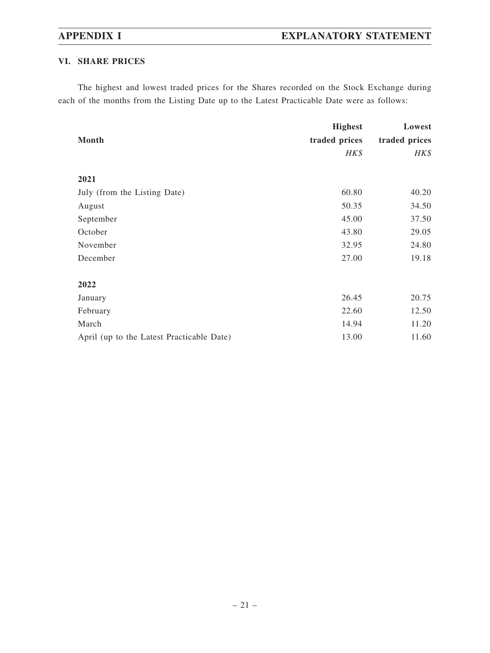## **VI. SHARE PRICES**

The highest and lowest traded prices for the Shares recorded on the Stock Exchange during each of the months from the Listing Date up to the Latest Practicable Date were as follows:

|                                           | <b>Highest</b> | Lowest        |
|-------------------------------------------|----------------|---------------|
| Month                                     | traded prices  | traded prices |
|                                           | $H K$ \$       | HK\$          |
| 2021                                      |                |               |
| July (from the Listing Date)              | 60.80          | 40.20         |
| August                                    | 50.35          | 34.50         |
| September                                 | 45.00          | 37.50         |
| October                                   | 43.80          | 29.05         |
| November                                  | 32.95          | 24.80         |
| December                                  | 27.00          | 19.18         |
| 2022                                      |                |               |
| January                                   | 26.45          | 20.75         |
| February                                  | 22.60          | 12.50         |
| March                                     | 14.94          | 11.20         |
| April (up to the Latest Practicable Date) | 13.00          | 11.60         |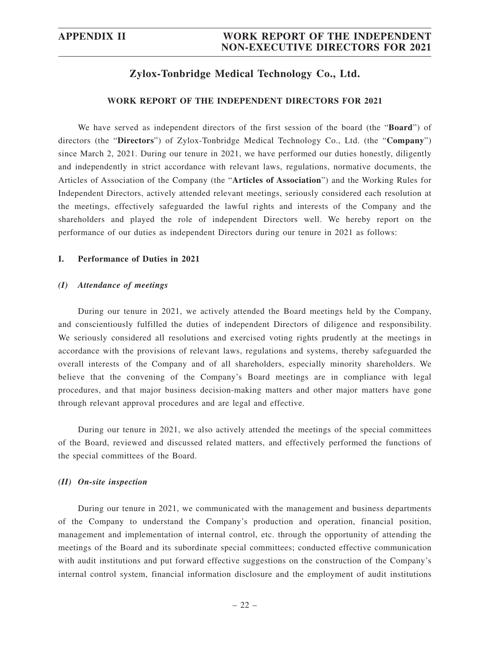## **Zylox-Tonbridge Medical Technology Co., Ltd.**

#### **WORK REPORT OF THE INDEPENDENT DIRECTORS FOR 2021**

We have served as independent directors of the first session of the board (the "**Board**") of directors (the "**Directors**") of Zylox-Tonbridge Medical Technology Co., Ltd. (the "**Company**") since March 2, 2021. During our tenure in 2021, we have performed our duties honestly, diligently and independently in strict accordance with relevant laws, regulations, normative documents, the Articles of Association of the Company (the "**Articles of Association**") and the Working Rules for Independent Directors, actively attended relevant meetings, seriously considered each resolution at the meetings, effectively safeguarded the lawful rights and interests of the Company and the shareholders and played the role of independent Directors well. We hereby report on the performance of our duties as independent Directors during our tenure in 2021 as follows:

#### **I. Performance of Duties in 2021**

#### *(I) Attendance of meetings*

During our tenure in 2021, we actively attended the Board meetings held by the Company, and conscientiously fulfilled the duties of independent Directors of diligence and responsibility. We seriously considered all resolutions and exercised voting rights prudently at the meetings in accordance with the provisions of relevant laws, regulations and systems, thereby safeguarded the overall interests of the Company and of all shareholders, especially minority shareholders. We believe that the convening of the Company's Board meetings are in compliance with legal procedures, and that major business decision-making matters and other major matters have gone through relevant approval procedures and are legal and effective.

During our tenure in 2021, we also actively attended the meetings of the special committees of the Board, reviewed and discussed related matters, and effectively performed the functions of the special committees of the Board.

#### *(II) On-site inspection*

During our tenure in 2021, we communicated with the management and business departments of the Company to understand the Company's production and operation, financial position, management and implementation of internal control, etc. through the opportunity of attending the meetings of the Board and its subordinate special committees; conducted effective communication with audit institutions and put forward effective suggestions on the construction of the Company's internal control system, financial information disclosure and the employment of audit institutions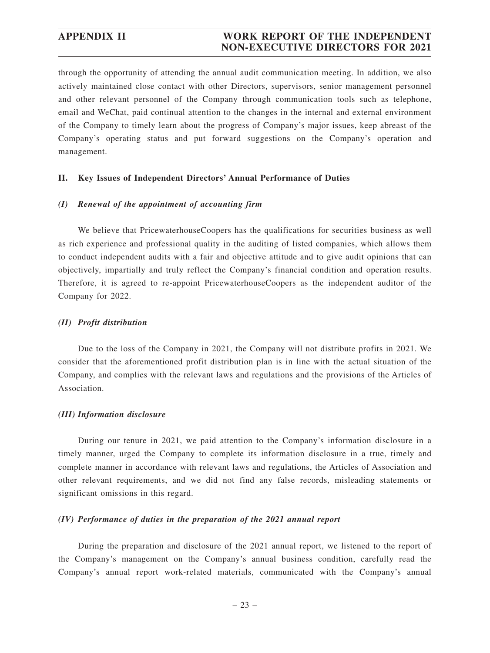### **APPENDIX II WORK REPORT OF THE INDEPENDENT NON-EXECUTIVE DIRECTORS FOR 2021**

through the opportunity of attending the annual audit communication meeting. In addition, we also actively maintained close contact with other Directors, supervisors, senior management personnel and other relevant personnel of the Company through communication tools such as telephone, email and WeChat, paid continual attention to the changes in the internal and external environment of the Company to timely learn about the progress of Company's major issues, keep abreast of the Company's operating status and put forward suggestions on the Company's operation and management.

#### **II. Key Issues of Independent Directors' Annual Performance of Duties**

#### *(I) Renewal of the appointment of accounting firm*

We believe that PricewaterhouseCoopers has the qualifications for securities business as well as rich experience and professional quality in the auditing of listed companies, which allows them to conduct independent audits with a fair and objective attitude and to give audit opinions that can objectively, impartially and truly reflect the Company's financial condition and operation results. Therefore, it is agreed to re-appoint PricewaterhouseCoopers as the independent auditor of the Company for 2022.

#### *(II) Profit distribution*

Due to the loss of the Company in 2021, the Company will not distribute profits in 2021. We consider that the aforementioned profit distribution plan is in line with the actual situation of the Company, and complies with the relevant laws and regulations and the provisions of the Articles of Association.

#### *(III) Information disclosure*

During our tenure in 2021, we paid attention to the Company's information disclosure in a timely manner, urged the Company to complete its information disclosure in a true, timely and complete manner in accordance with relevant laws and regulations, the Articles of Association and other relevant requirements, and we did not find any false records, misleading statements or significant omissions in this regard.

#### *(IV) Performance of duties in the preparation of the 2021 annual report*

During the preparation and disclosure of the 2021 annual report, we listened to the report of the Company's management on the Company's annual business condition, carefully read the Company's annual report work-related materials, communicated with the Company's annual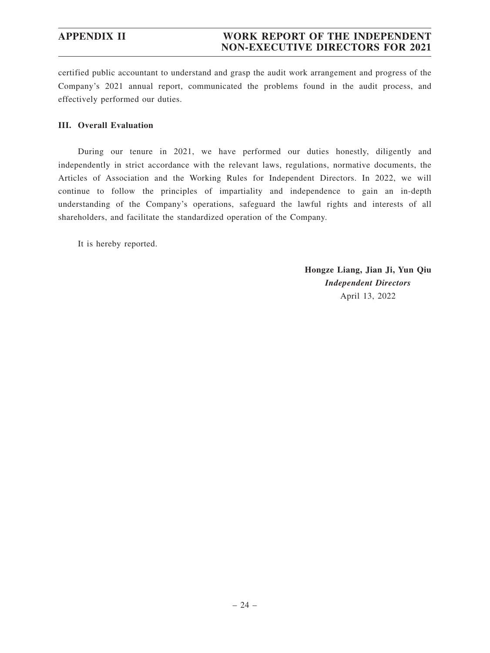certified public accountant to understand and grasp the audit work arrangement and progress of the Company's 2021 annual report, communicated the problems found in the audit process, and effectively performed our duties.

### **III. Overall Evaluation**

During our tenure in 2021, we have performed our duties honestly, diligently and independently in strict accordance with the relevant laws, regulations, normative documents, the Articles of Association and the Working Rules for Independent Directors. In 2022, we will continue to follow the principles of impartiality and independence to gain an in-depth understanding of the Company's operations, safeguard the lawful rights and interests of all shareholders, and facilitate the standardized operation of the Company.

It is hereby reported.

**Hongze Liang, Jian Ji, Yun Qiu** *Independent Directors* April 13, 2022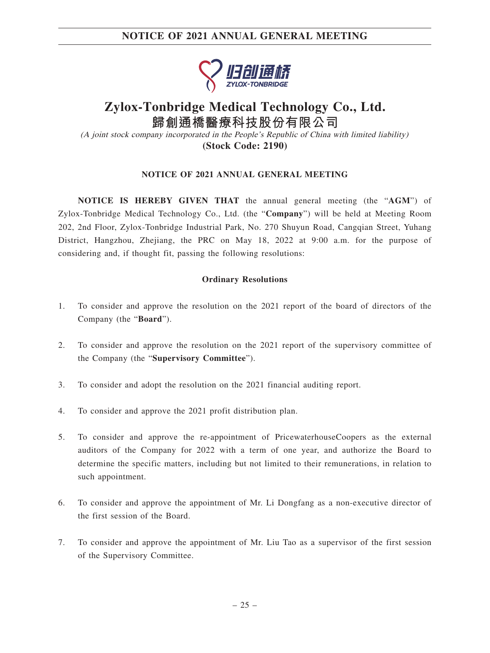## **NOTICE OF 2021 ANNUAL GENERAL MEETING**



## **Zylox-Tonbridge Medical Technology Co., Ltd. 歸創通橋醫療科技股份有限公司**

(A joint stock company incorporated in the People's Republic of China with limited liability) **(Stock Code: 2190)**

#### **NOTICE OF 2021 ANNUAL GENERAL MEETING**

**NOTICE IS HEREBY GIVEN THAT** the annual general meeting (the "**AGM**") of Zylox-Tonbridge Medical Technology Co., Ltd. (the "**Company**") will be held at Meeting Room 202, 2nd Floor, Zylox-Tonbridge Industrial Park, No. 270 Shuyun Road, Cangqian Street, Yuhang District, Hangzhou, Zhejiang, the PRC on May 18, 2022 at 9:00 a.m. for the purpose of considering and, if thought fit, passing the following resolutions:

#### **Ordinary Resolutions**

- 1. To consider and approve the resolution on the 2021 report of the board of directors of the Company (the "**Board**").
- 2. To consider and approve the resolution on the 2021 report of the supervisory committee of the Company (the "**Supervisory Committee**").
- 3. To consider and adopt the resolution on the 2021 financial auditing report.
- 4. To consider and approve the 2021 profit distribution plan.
- 5. To consider and approve the re-appointment of PricewaterhouseCoopers as the external auditors of the Company for 2022 with a term of one year, and authorize the Board to determine the specific matters, including but not limited to their remunerations, in relation to such appointment.
- 6. To consider and approve the appointment of Mr. Li Dongfang as a non-executive director of the first session of the Board.
- 7. To consider and approve the appointment of Mr. Liu Tao as a supervisor of the first session of the Supervisory Committee.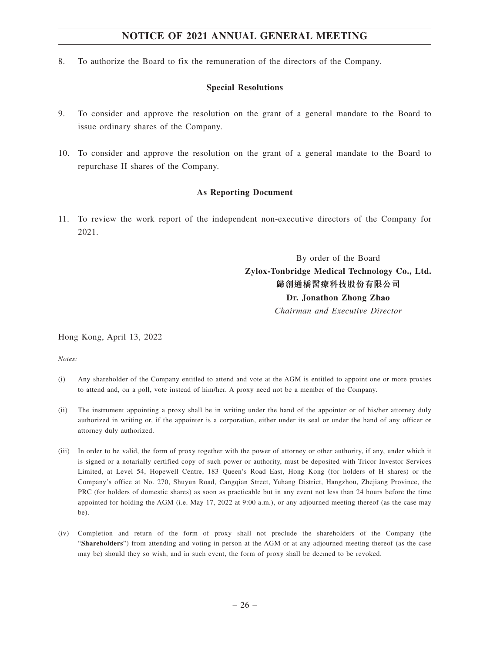## **NOTICE OF 2021 ANNUAL GENERAL MEETING**

8. To authorize the Board to fix the remuneration of the directors of the Company.

#### **Special Resolutions**

- 9. To consider and approve the resolution on the grant of a general mandate to the Board to issue ordinary shares of the Company.
- 10. To consider and approve the resolution on the grant of a general mandate to the Board to repurchase H shares of the Company.

#### **As Reporting Document**

11. To review the work report of the independent non-executive directors of the Company for 2021.

> By order of the Board **Zylox-Tonbridge Medical Technology Co., Ltd. 歸創通橋醫療科技股份有限公司 Dr. Jonathon Zhong Zhao**

*Chairman and Executive Director*

Hong Kong, April 13, 2022

*Notes:*

- (i) Any shareholder of the Company entitled to attend and vote at the AGM is entitled to appoint one or more proxies to attend and, on a poll, vote instead of him/her. A proxy need not be a member of the Company.
- (ii) The instrument appointing a proxy shall be in writing under the hand of the appointer or of his/her attorney duly authorized in writing or, if the appointer is a corporation, either under its seal or under the hand of any officer or attorney duly authorized.
- (iii) In order to be valid, the form of proxy together with the power of attorney or other authority, if any, under which it is signed or a notarially certified copy of such power or authority, must be deposited with Tricor Investor Services Limited, at Level 54, Hopewell Centre, 183 Queen's Road East, Hong Kong (for holders of H shares) or the Company's office at No. 270, Shuyun Road, Cangqian Street, Yuhang District, Hangzhou, Zhejiang Province, the PRC (for holders of domestic shares) as soon as practicable but in any event not less than 24 hours before the time appointed for holding the AGM (i.e. May 17, 2022 at 9:00 a.m.), or any adjourned meeting thereof (as the case may be).
- (iv) Completion and return of the form of proxy shall not preclude the shareholders of the Company (the "**Shareholders**") from attending and voting in person at the AGM or at any adjourned meeting thereof (as the case may be) should they so wish, and in such event, the form of proxy shall be deemed to be revoked.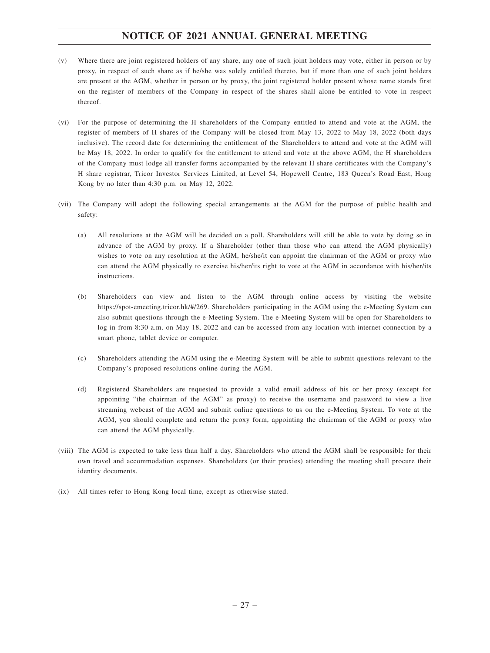## **NOTICE OF 2021 ANNUAL GENERAL MEETING**

- (v) Where there are joint registered holders of any share, any one of such joint holders may vote, either in person or by proxy, in respect of such share as if he/she was solely entitled thereto, but if more than one of such joint holders are present at the AGM, whether in person or by proxy, the joint registered holder present whose name stands first on the register of members of the Company in respect of the shares shall alone be entitled to vote in respect thereof.
- (vi) For the purpose of determining the H shareholders of the Company entitled to attend and vote at the AGM, the register of members of H shares of the Company will be closed from May 13, 2022 to May 18, 2022 (both days inclusive). The record date for determining the entitlement of the Shareholders to attend and vote at the AGM will be May 18, 2022. In order to qualify for the entitlement to attend and vote at the above AGM, the H shareholders of the Company must lodge all transfer forms accompanied by the relevant H share certificates with the Company's H share registrar, Tricor Investor Services Limited, at Level 54, Hopewell Centre, 183 Queen's Road East, Hong Kong by no later than 4:30 p.m. on May 12, 2022.
- (vii) The Company will adopt the following special arrangements at the AGM for the purpose of public health and safety:
	- (a) All resolutions at the AGM will be decided on a poll. Shareholders will still be able to vote by doing so in advance of the AGM by proxy. If a Shareholder (other than those who can attend the AGM physically) wishes to vote on any resolution at the AGM, he/she/it can appoint the chairman of the AGM or proxy who can attend the AGM physically to exercise his/her/its right to vote at the AGM in accordance with his/her/its instructions.
	- (b) Shareholders can view and listen to the AGM through online access by visiting the website https://spot-emeeting.tricor.hk/#/269. Shareholders participating in the AGM using the e-Meeting System can also submit questions through the e-Meeting System. The e-Meeting System will be open for Shareholders to log in from 8:30 a.m. on May 18, 2022 and can be accessed from any location with internet connection by a smart phone, tablet device or computer.
	- (c) Shareholders attending the AGM using the e-Meeting System will be able to submit questions relevant to the Company's proposed resolutions online during the AGM.
	- (d) Registered Shareholders are requested to provide a valid email address of his or her proxy (except for appointing "the chairman of the AGM" as proxy) to receive the username and password to view a live streaming webcast of the AGM and submit online questions to us on the e-Meeting System. To vote at the AGM, you should complete and return the proxy form, appointing the chairman of the AGM or proxy who can attend the AGM physically.
- (viii) The AGM is expected to take less than half a day. Shareholders who attend the AGM shall be responsible for their own travel and accommodation expenses. Shareholders (or their proxies) attending the meeting shall procure their identity documents.
- (ix) All times refer to Hong Kong local time, except as otherwise stated.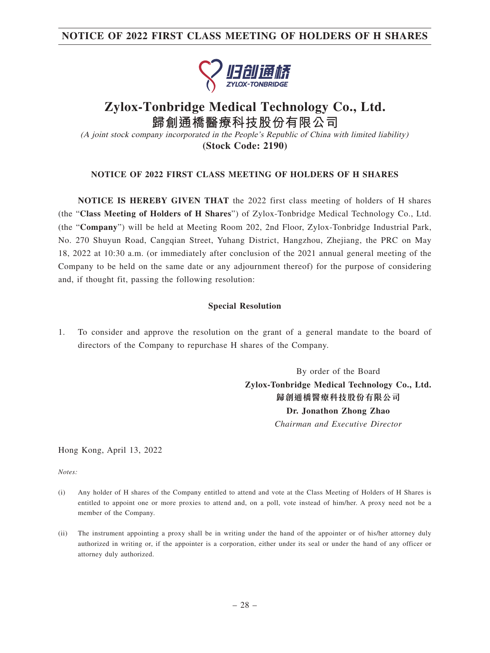## **NOTICE OF 2022 FIRST CLASS MEETING OF HOLDERS OF H SHARES**



## **Zylox-Tonbridge Medical Technology Co., Ltd. 歸創通橋醫療科技股份有限公司**

(A joint stock company incorporated in the People's Republic of China with limited liability) **(Stock Code: 2190)**

#### **NOTICE OF 2022 FIRST CLASS MEETING OF HOLDERS OF H SHARES**

**NOTICE IS HEREBY GIVEN THAT** the 2022 first class meeting of holders of H shares (the "**Class Meeting of Holders of H Shares**") of Zylox-Tonbridge Medical Technology Co., Ltd. (the "**Company**") will be held at Meeting Room 202, 2nd Floor, Zylox-Tonbridge Industrial Park, No. 270 Shuyun Road, Cangqian Street, Yuhang District, Hangzhou, Zhejiang, the PRC on May 18, 2022 at 10:30 a.m. (or immediately after conclusion of the 2021 annual general meeting of the Company to be held on the same date or any adjournment thereof) for the purpose of considering and, if thought fit, passing the following resolution:

#### **Special Resolution**

1. To consider and approve the resolution on the grant of a general mandate to the board of directors of the Company to repurchase H shares of the Company.

> By order of the Board **Zylox-Tonbridge Medical Technology Co., Ltd. 歸創通橋醫療科技股份有限公司 Dr. Jonathon Zhong Zhao** *Chairman and Executive Director*

Hong Kong, April 13, 2022

*Notes:*

- (i) Any holder of H shares of the Company entitled to attend and vote at the Class Meeting of Holders of H Shares is entitled to appoint one or more proxies to attend and, on a poll, vote instead of him/her. A proxy need not be a member of the Company.
- (ii) The instrument appointing a proxy shall be in writing under the hand of the appointer or of his/her attorney duly authorized in writing or, if the appointer is a corporation, either under its seal or under the hand of any officer or attorney duly authorized.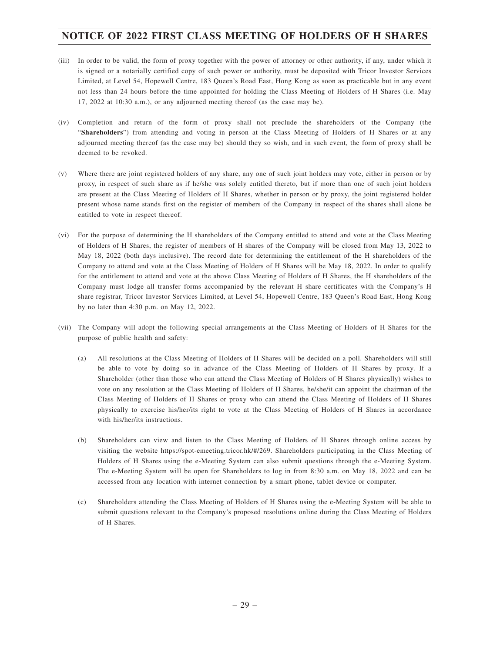## **NOTICE OF 2022 FIRST CLASS MEETING OF HOLDERS OF H SHARES**

- (iii) In order to be valid, the form of proxy together with the power of attorney or other authority, if any, under which it is signed or a notarially certified copy of such power or authority, must be deposited with Tricor Investor Services Limited, at Level 54, Hopewell Centre, 183 Queen's Road East, Hong Kong as soon as practicable but in any event not less than 24 hours before the time appointed for holding the Class Meeting of Holders of H Shares (i.e. May 17, 2022 at 10:30 a.m.), or any adjourned meeting thereof (as the case may be).
- (iv) Completion and return of the form of proxy shall not preclude the shareholders of the Company (the "**Shareholders**") from attending and voting in person at the Class Meeting of Holders of H Shares or at any adjourned meeting thereof (as the case may be) should they so wish, and in such event, the form of proxy shall be deemed to be revoked.
- (v) Where there are joint registered holders of any share, any one of such joint holders may vote, either in person or by proxy, in respect of such share as if he/she was solely entitled thereto, but if more than one of such joint holders are present at the Class Meeting of Holders of H Shares, whether in person or by proxy, the joint registered holder present whose name stands first on the register of members of the Company in respect of the shares shall alone be entitled to vote in respect thereof.
- (vi) For the purpose of determining the H shareholders of the Company entitled to attend and vote at the Class Meeting of Holders of H Shares, the register of members of H shares of the Company will be closed from May 13, 2022 to May 18, 2022 (both days inclusive). The record date for determining the entitlement of the H shareholders of the Company to attend and vote at the Class Meeting of Holders of H Shares will be May 18, 2022. In order to qualify for the entitlement to attend and vote at the above Class Meeting of Holders of H Shares, the H shareholders of the Company must lodge all transfer forms accompanied by the relevant H share certificates with the Company's H share registrar, Tricor Investor Services Limited, at Level 54, Hopewell Centre, 183 Queen's Road East, Hong Kong by no later than 4:30 p.m. on May 12, 2022.
- (vii) The Company will adopt the following special arrangements at the Class Meeting of Holders of H Shares for the purpose of public health and safety:
	- (a) All resolutions at the Class Meeting of Holders of H Shares will be decided on a poll. Shareholders will still be able to vote by doing so in advance of the Class Meeting of Holders of H Shares by proxy. If a Shareholder (other than those who can attend the Class Meeting of Holders of H Shares physically) wishes to vote on any resolution at the Class Meeting of Holders of H Shares, he/she/it can appoint the chairman of the Class Meeting of Holders of H Shares or proxy who can attend the Class Meeting of Holders of H Shares physically to exercise his/her/its right to vote at the Class Meeting of Holders of H Shares in accordance with his/her/its instructions.
	- (b) Shareholders can view and listen to the Class Meeting of Holders of H Shares through online access by visiting the website https://spot-emeeting.tricor.hk/#/269. Shareholders participating in the Class Meeting of Holders of H Shares using the e-Meeting System can also submit questions through the e-Meeting System. The e-Meeting System will be open for Shareholders to log in from 8:30 a.m. on May 18, 2022 and can be accessed from any location with internet connection by a smart phone, tablet device or computer.
	- (c) Shareholders attending the Class Meeting of Holders of H Shares using the e-Meeting System will be able to submit questions relevant to the Company's proposed resolutions online during the Class Meeting of Holders of H Shares.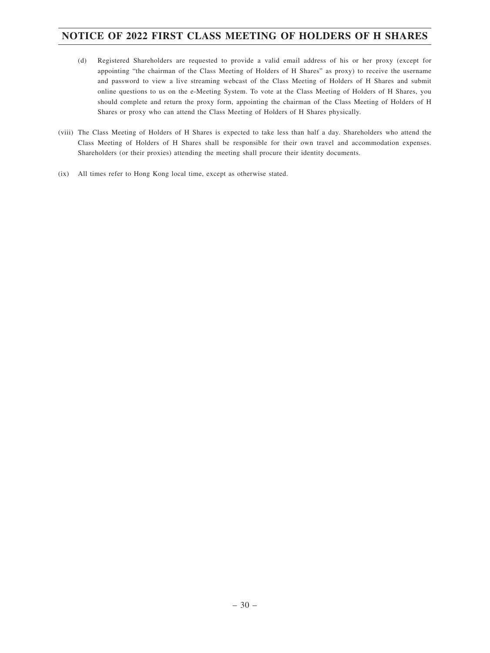## **NOTICE OF 2022 FIRST CLASS MEETING OF HOLDERS OF H SHARES**

- (d) Registered Shareholders are requested to provide a valid email address of his or her proxy (except for appointing "the chairman of the Class Meeting of Holders of H Shares" as proxy) to receive the username and password to view a live streaming webcast of the Class Meeting of Holders of H Shares and submit online questions to us on the e-Meeting System. To vote at the Class Meeting of Holders of H Shares, you should complete and return the proxy form, appointing the chairman of the Class Meeting of Holders of H Shares or proxy who can attend the Class Meeting of Holders of H Shares physically.
- (viii) The Class Meeting of Holders of H Shares is expected to take less than half a day. Shareholders who attend the Class Meeting of Holders of H Shares shall be responsible for their own travel and accommodation expenses. Shareholders (or their proxies) attending the meeting shall procure their identity documents.
- (ix) All times refer to Hong Kong local time, except as otherwise stated.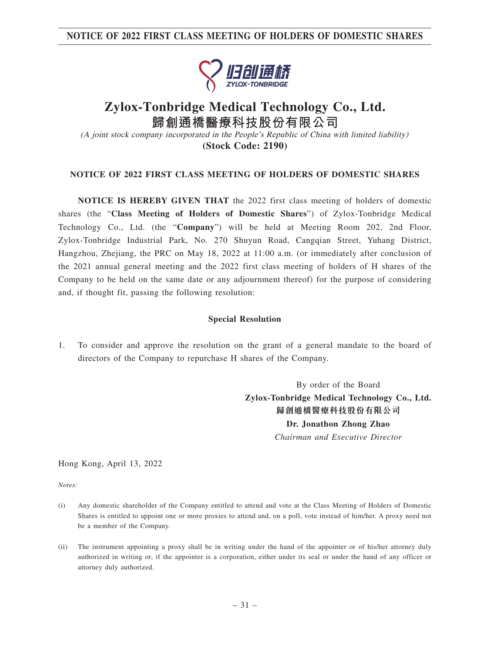**NOTICE OF 2022 FIRST CLASS MEETING OF HOLDERS OF DOMESTIC SHARES**



## **Zylox-Tonbridge Medical Technology Co., Ltd. 歸創通橋醫療科技股份有限公司** (A joint stock company incorporated in the People's Republic of China with limited liability)

**(Stock Code: 2190)**

### **NOTICE OF 2022 FIRST CLASS MEETING OF HOLDERS OF DOMESTIC SHARES**

**NOTICE IS HEREBY GIVEN THAT** the 2022 first class meeting of holders of domestic shares (the "**Class Meeting of Holders of Domestic Shares**") of Zylox-Tonbridge Medical Technology Co., Ltd. (the "**Company**") will be held at Meeting Room 202, 2nd Floor, Zylox-Tonbridge Industrial Park, No. 270 Shuyun Road, Cangqian Street, Yuhang District, Hangzhou, Zhejiang, the PRC on May 18, 2022 at 11:00 a.m. (or immediately after conclusion of the 2021 annual general meeting and the 2022 first class meeting of holders of H shares of the Company to be held on the same date or any adjournment thereof) for the purpose of considering and, if thought fit, passing the following resolution:

#### **Special Resolution**

1. To consider and approve the resolution on the grant of a general mandate to the board of directors of the Company to repurchase H shares of the Company.

> By order of the Board **Zylox-Tonbridge Medical Technology Co., Ltd. 歸創通橋醫療科技股份有限公司 Dr. Jonathon Zhong Zhao** *Chairman and Executive Director*

Hong Kong, April 13, 2022

*Notes:*

- (i) Any domestic shareholder of the Company entitled to attend and vote at the Class Meeting of Holders of Domestic Shares is entitled to appoint one or more proxies to attend and, on a poll, vote instead of him/her. A proxy need not be a member of the Company.
- (ii) The instrument appointing a proxy shall be in writing under the hand of the appointer or of his/her attorney duly authorized in writing or, if the appointer is a corporation, either under its seal or under the hand of any officer or attorney duly authorized.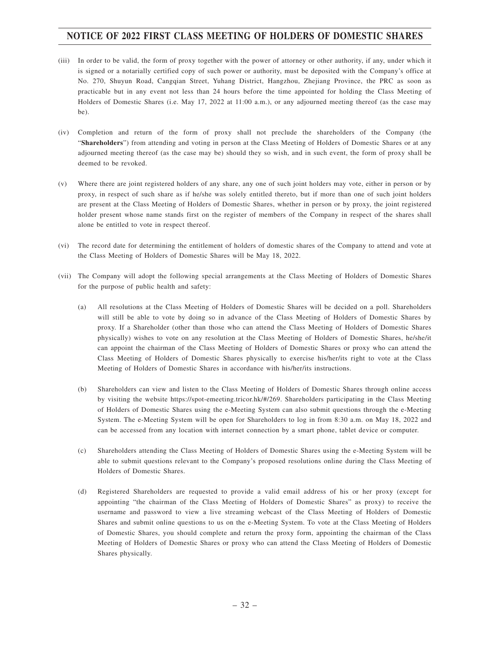## **NOTICE OF 2022 FIRST CLASS MEETING OF HOLDERS OF DOMESTIC SHARES**

- (iii) In order to be valid, the form of proxy together with the power of attorney or other authority, if any, under which it is signed or a notarially certified copy of such power or authority, must be deposited with the Company's office at No. 270, Shuyun Road, Cangqian Street, Yuhang District, Hangzhou, Zhejiang Province, the PRC as soon as practicable but in any event not less than 24 hours before the time appointed for holding the Class Meeting of Holders of Domestic Shares (i.e. May 17, 2022 at 11:00 a.m.), or any adjourned meeting thereof (as the case may be).
- (iv) Completion and return of the form of proxy shall not preclude the shareholders of the Company (the "**Shareholders**") from attending and voting in person at the Class Meeting of Holders of Domestic Shares or at any adjourned meeting thereof (as the case may be) should they so wish, and in such event, the form of proxy shall be deemed to be revoked.
- (v) Where there are joint registered holders of any share, any one of such joint holders may vote, either in person or by proxy, in respect of such share as if he/she was solely entitled thereto, but if more than one of such joint holders are present at the Class Meeting of Holders of Domestic Shares, whether in person or by proxy, the joint registered holder present whose name stands first on the register of members of the Company in respect of the shares shall alone be entitled to vote in respect thereof.
- (vi) The record date for determining the entitlement of holders of domestic shares of the Company to attend and vote at the Class Meeting of Holders of Domestic Shares will be May 18, 2022.
- (vii) The Company will adopt the following special arrangements at the Class Meeting of Holders of Domestic Shares for the purpose of public health and safety:
	- (a) All resolutions at the Class Meeting of Holders of Domestic Shares will be decided on a poll. Shareholders will still be able to vote by doing so in advance of the Class Meeting of Holders of Domestic Shares by proxy. If a Shareholder (other than those who can attend the Class Meeting of Holders of Domestic Shares physically) wishes to vote on any resolution at the Class Meeting of Holders of Domestic Shares, he/she/it can appoint the chairman of the Class Meeting of Holders of Domestic Shares or proxy who can attend the Class Meeting of Holders of Domestic Shares physically to exercise his/her/its right to vote at the Class Meeting of Holders of Domestic Shares in accordance with his/her/its instructions.
	- (b) Shareholders can view and listen to the Class Meeting of Holders of Domestic Shares through online access by visiting the website https://spot-emeeting.tricor.hk/#/269. Shareholders participating in the Class Meeting of Holders of Domestic Shares using the e-Meeting System can also submit questions through the e-Meeting System. The e-Meeting System will be open for Shareholders to log in from 8:30 a.m. on May 18, 2022 and can be accessed from any location with internet connection by a smart phone, tablet device or computer.
	- (c) Shareholders attending the Class Meeting of Holders of Domestic Shares using the e-Meeting System will be able to submit questions relevant to the Company's proposed resolutions online during the Class Meeting of Holders of Domestic Shares.
	- (d) Registered Shareholders are requested to provide a valid email address of his or her proxy (except for appointing "the chairman of the Class Meeting of Holders of Domestic Shares" as proxy) to receive the username and password to view a live streaming webcast of the Class Meeting of Holders of Domestic Shares and submit online questions to us on the e-Meeting System. To vote at the Class Meeting of Holders of Domestic Shares, you should complete and return the proxy form, appointing the chairman of the Class Meeting of Holders of Domestic Shares or proxy who can attend the Class Meeting of Holders of Domestic Shares physically.